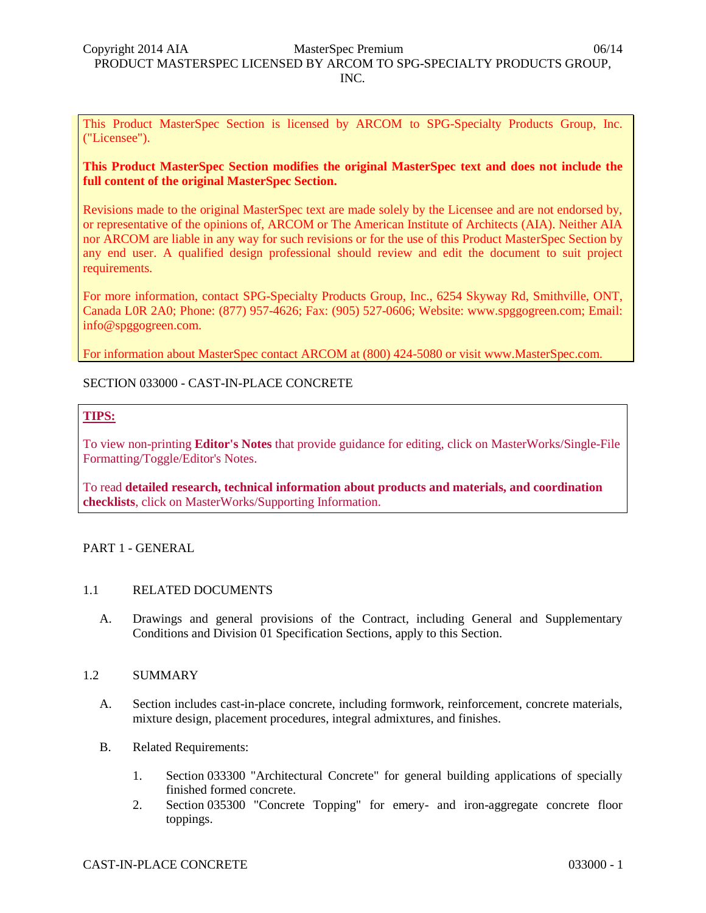This Product MasterSpec Section is licensed by ARCOM to SPG-Specialty Products Group, Inc. ("Licensee").

# **This Product MasterSpec Section modifies the original MasterSpec text and does not include the full content of the original MasterSpec Section.**

Revisions made to the original MasterSpec text are made solely by the Licensee and are not endorsed by, or representative of the opinions of, ARCOM or The American Institute of Architects (AIA). Neither AIA nor ARCOM are liable in any way for such revisions or for the use of this Product MasterSpec Section by any end user. A qualified design professional should review and edit the document to suit project requirements.

For more information, contact SPG-Specialty Products Group, Inc., 6254 Skyway Rd, Smithville, ONT, Canada L0R 2A0; Phone: (877) 957-4626; Fax: (905) 527-0606; Website: www.spggogreen.com; Email: info@spggogreen.com.

For information about MasterSpec contact ARCOM at (800) 424-5080 or visit www.MasterSpec.com.

# SECTION 033000 - CAST-IN-PLACE CONCRETE

# **TIPS:**

To view non-printing **Editor's Notes** that provide guidance for editing, click on MasterWorks/Single-File Formatting/Toggle/Editor's Notes.

To read **detailed research, technical information about products and materials, and coordination checklists**, click on MasterWorks/Supporting Information.

# PART 1 - GENERAL

# 1.1 RELATED DOCUMENTS

A. Drawings and general provisions of the Contract, including General and Supplementary Conditions and Division 01 Specification Sections, apply to this Section.

# 1.2 SUMMARY

- A. Section includes cast-in-place concrete, including formwork, reinforcement, concrete materials, mixture design, placement procedures, integral admixtures, and finishes.
- B. Related Requirements:
	- 1. Section 033300 "Architectural Concrete" for general building applications of specially finished formed concrete.
	- 2. Section 035300 "Concrete Topping" for emery- and iron-aggregate concrete floor toppings.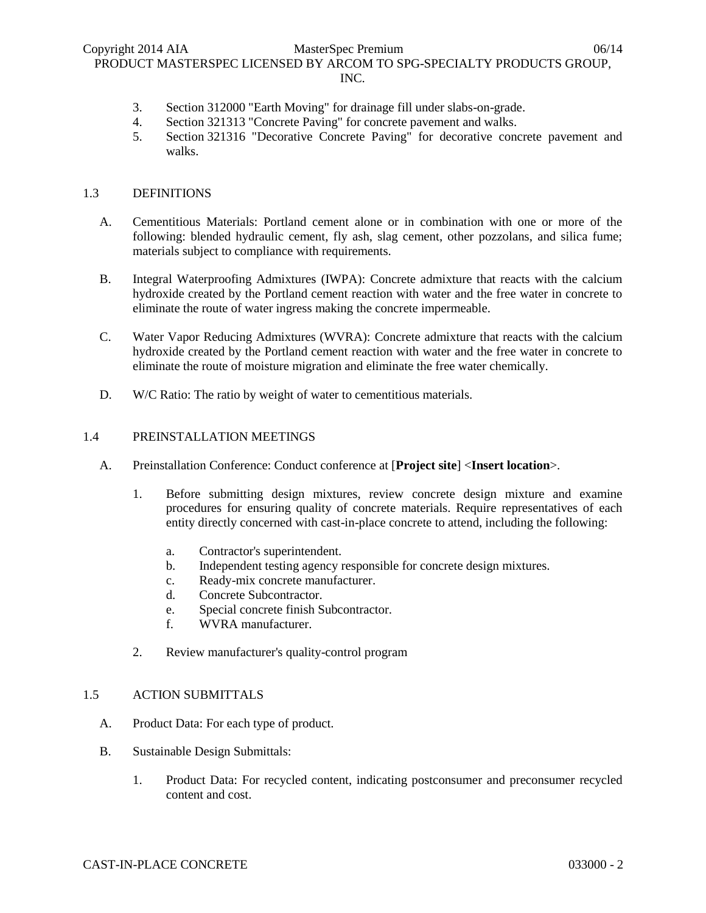- 3. Section 312000 "Earth Moving" for drainage fill under slabs-on-grade.
- 4. Section 321313 "Concrete Paving" for concrete pavement and walks.
- 5. Section 321316 "Decorative Concrete Paving" for decorative concrete pavement and walks.

# 1.3 DEFINITIONS

- A. Cementitious Materials: Portland cement alone or in combination with one or more of the following: blended hydraulic cement, fly ash, slag cement, other pozzolans, and silica fume; materials subject to compliance with requirements.
- B. Integral Waterproofing Admixtures (IWPA): Concrete admixture that reacts with the calcium hydroxide created by the Portland cement reaction with water and the free water in concrete to eliminate the route of water ingress making the concrete impermeable.
- C. Water Vapor Reducing Admixtures (WVRA): Concrete admixture that reacts with the calcium hydroxide created by the Portland cement reaction with water and the free water in concrete to eliminate the route of moisture migration and eliminate the free water chemically.
- D. W/C Ratio: The ratio by weight of water to cementitious materials.

### 1.4 PREINSTALLATION MEETINGS

- A. Preinstallation Conference: Conduct conference at [**Project site**] <**Insert location**>.
	- 1. Before submitting design mixtures, review concrete design mixture and examine procedures for ensuring quality of concrete materials. Require representatives of each entity directly concerned with cast-in-place concrete to attend, including the following:
		- a. Contractor's superintendent.
		- b. Independent testing agency responsible for concrete design mixtures.
		- c. Ready-mix concrete manufacturer.
		- d. Concrete Subcontractor.
		- e. Special concrete finish Subcontractor.
		- f. WVRA manufacturer.
	- 2. Review manufacturer's quality-control program

#### 1.5 ACTION SUBMITTALS

- A. Product Data: For each type of product.
- B. Sustainable Design Submittals:
	- 1. Product Data: For recycled content, indicating postconsumer and preconsumer recycled content and cost.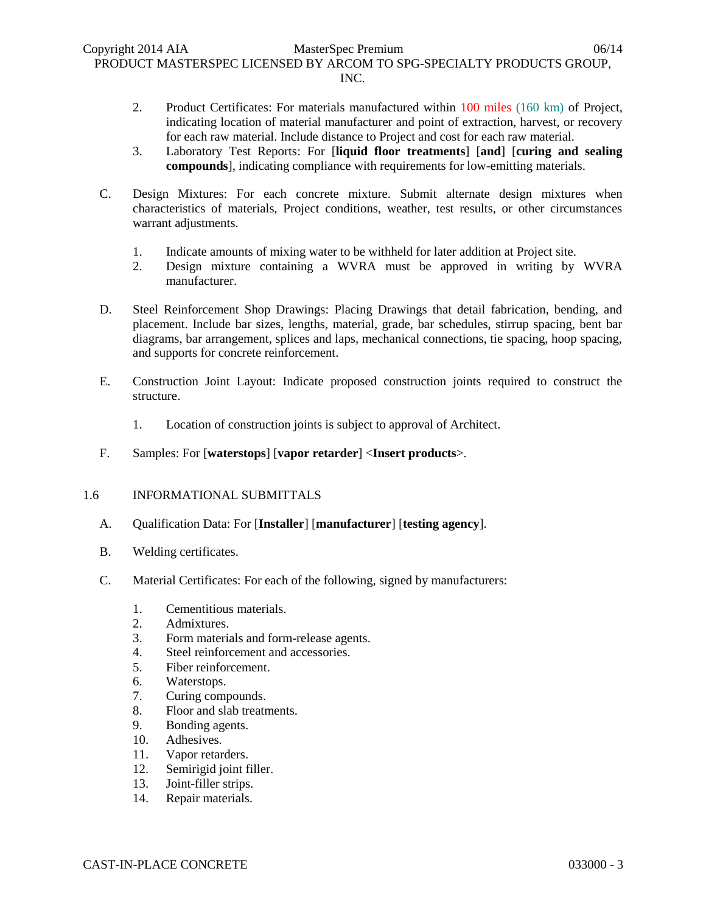- 2. Product Certificates: For materials manufactured within 100 miles (160 km) of Project, indicating location of material manufacturer and point of extraction, harvest, or recovery for each raw material. Include distance to Project and cost for each raw material.
- 3. Laboratory Test Reports: For [**liquid floor treatments**] [**and**] [**curing and sealing compounds**], indicating compliance with requirements for low-emitting materials.
- C. Design Mixtures: For each concrete mixture. Submit alternate design mixtures when characteristics of materials, Project conditions, weather, test results, or other circumstances warrant adjustments.
	- 1. Indicate amounts of mixing water to be withheld for later addition at Project site.
	- 2. Design mixture containing a WVRA must be approved in writing by WVRA manufacturer.
- D. Steel Reinforcement Shop Drawings: Placing Drawings that detail fabrication, bending, and placement. Include bar sizes, lengths, material, grade, bar schedules, stirrup spacing, bent bar diagrams, bar arrangement, splices and laps, mechanical connections, tie spacing, hoop spacing, and supports for concrete reinforcement.
- E. Construction Joint Layout: Indicate proposed construction joints required to construct the structure.
	- 1. Location of construction joints is subject to approval of Architect.
- F. Samples: For [**waterstops**] [**vapor retarder**] <**Insert products**>.

# 1.6 INFORMATIONAL SUBMITTALS

- A. Qualification Data: For [**Installer**] [**manufacturer**] [**testing agency**].
- B. Welding certificates.
- C. Material Certificates: For each of the following, signed by manufacturers:
	- 1. Cementitious materials.
	- 2. Admixtures.
	- 3. Form materials and form-release agents.
	- 4. Steel reinforcement and accessories.
	- 5. Fiber reinforcement.
	- 6. Waterstops.
	- 7. Curing compounds.
	- 8. Floor and slab treatments.
	- 9. Bonding agents.
	- 10. Adhesives.
	- 11. Vapor retarders.
	- 12. Semirigid joint filler.
	- 13. Joint-filler strips.
	- 14. Repair materials.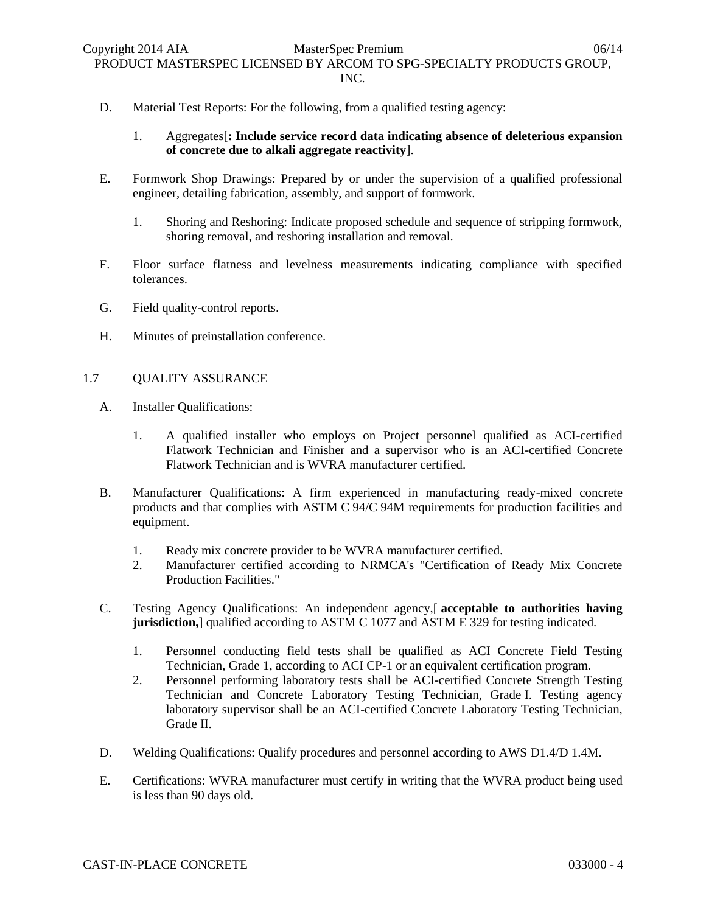- D. Material Test Reports: For the following, from a qualified testing agency:
	- 1. Aggregates[**: Include service record data indicating absence of deleterious expansion of concrete due to alkali aggregate reactivity**].
- E. Formwork Shop Drawings: Prepared by or under the supervision of a qualified professional engineer, detailing fabrication, assembly, and support of formwork.
	- 1. Shoring and Reshoring: Indicate proposed schedule and sequence of stripping formwork, shoring removal, and reshoring installation and removal.
- F. Floor surface flatness and levelness measurements indicating compliance with specified tolerances.
- G. Field quality-control reports.
- H. Minutes of preinstallation conference.

# 1.7 QUALITY ASSURANCE

- A. Installer Qualifications:
	- 1. A qualified installer who employs on Project personnel qualified as ACI-certified Flatwork Technician and Finisher and a supervisor who is an ACI-certified Concrete Flatwork Technician and is WVRA manufacturer certified.
- B. Manufacturer Qualifications: A firm experienced in manufacturing ready-mixed concrete products and that complies with ASTM C 94/C 94M requirements for production facilities and equipment.
	- 1. Ready mix concrete provider to be WVRA manufacturer certified.
	- 2. Manufacturer certified according to NRMCA's "Certification of Ready Mix Concrete Production Facilities."
- C. Testing Agency Qualifications: An independent agency,[ **acceptable to authorities having jurisdiction,** qualified according to ASTM C 1077 and ASTM E 329 for testing indicated.
	- 1. Personnel conducting field tests shall be qualified as ACI Concrete Field Testing Technician, Grade 1, according to ACI CP-1 or an equivalent certification program.
	- 2. Personnel performing laboratory tests shall be ACI-certified Concrete Strength Testing Technician and Concrete Laboratory Testing Technician, Grade I. Testing agency laboratory supervisor shall be an ACI-certified Concrete Laboratory Testing Technician, Grade II.
- D. Welding Qualifications: Qualify procedures and personnel according to AWS D1.4/D 1.4M.
- E. Certifications: WVRA manufacturer must certify in writing that the WVRA product being used is less than 90 days old.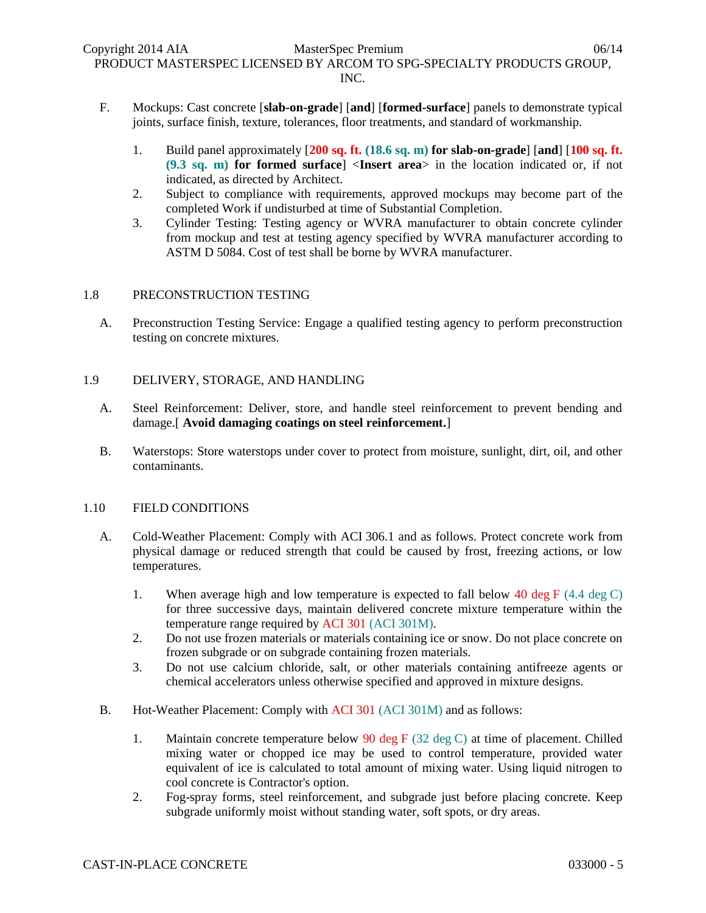- F. Mockups: Cast concrete [**slab-on-grade**] [**and**] [**formed-surface**] panels to demonstrate typical joints, surface finish, texture, tolerances, floor treatments, and standard of workmanship.
	- 1. Build panel approximately [**200 sq. ft. (18.6 sq. m) for slab-on-grade**] [**and**] [**100 sq. ft. (9.3 sq. m) for formed surface**] <**Insert area**> in the location indicated or, if not indicated, as directed by Architect.
	- 2. Subject to compliance with requirements, approved mockups may become part of the completed Work if undisturbed at time of Substantial Completion.
	- 3. Cylinder Testing: Testing agency or WVRA manufacturer to obtain concrete cylinder from mockup and test at testing agency specified by WVRA manufacturer according to ASTM D 5084. Cost of test shall be borne by WVRA manufacturer.

# 1.8 PRECONSTRUCTION TESTING

A. Preconstruction Testing Service: Engage a qualified testing agency to perform preconstruction testing on concrete mixtures.

# 1.9 DELIVERY, STORAGE, AND HANDLING

- A. Steel Reinforcement: Deliver, store, and handle steel reinforcement to prevent bending and damage.[ **Avoid damaging coatings on steel reinforcement.**]
- B. Waterstops: Store waterstops under cover to protect from moisture, sunlight, dirt, oil, and other contaminants.

# 1.10 FIELD CONDITIONS

- A. Cold-Weather Placement: Comply with ACI 306.1 and as follows. Protect concrete work from physical damage or reduced strength that could be caused by frost, freezing actions, or low temperatures.
	- 1. When average high and low temperature is expected to fall below 40 deg F  $(4.4 \deg C)$ for three successive days, maintain delivered concrete mixture temperature within the temperature range required by ACI 301 (ACI 301M).
	- 2. Do not use frozen materials or materials containing ice or snow. Do not place concrete on frozen subgrade or on subgrade containing frozen materials.
	- 3. Do not use calcium chloride, salt, or other materials containing antifreeze agents or chemical accelerators unless otherwise specified and approved in mixture designs.
- B. Hot-Weather Placement: Comply with ACI 301 (ACI 301M) and as follows:
	- 1. Maintain concrete temperature below 90 deg F (32 deg C) at time of placement. Chilled mixing water or chopped ice may be used to control temperature, provided water equivalent of ice is calculated to total amount of mixing water. Using liquid nitrogen to cool concrete is Contractor's option.
	- 2. Fog-spray forms, steel reinforcement, and subgrade just before placing concrete. Keep subgrade uniformly moist without standing water, soft spots, or dry areas.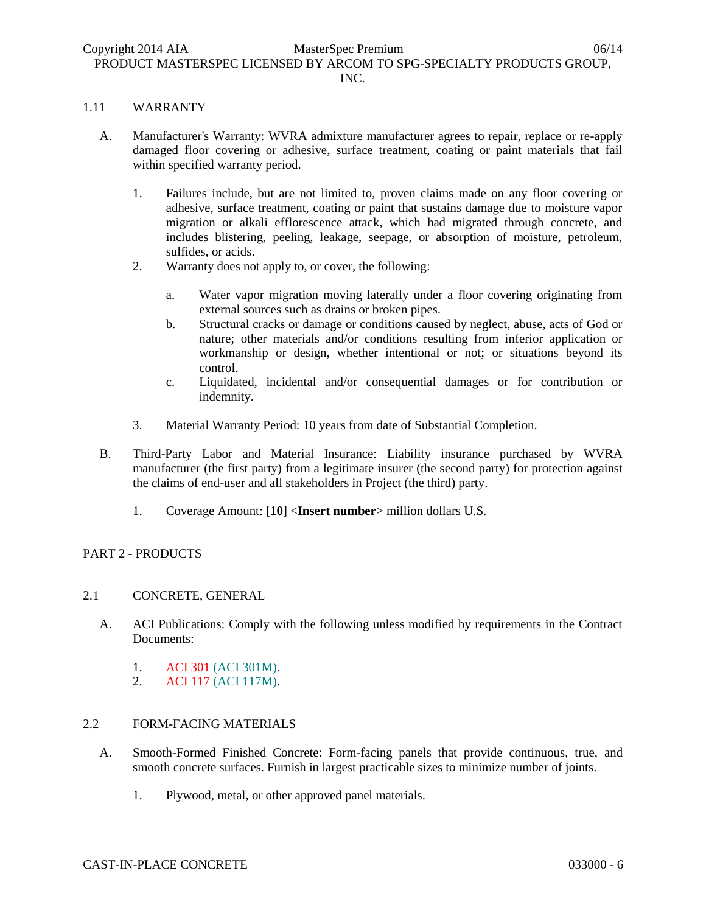### 1.11 WARRANTY

- A. Manufacturer's Warranty: WVRA admixture manufacturer agrees to repair, replace or re-apply damaged floor covering or adhesive, surface treatment, coating or paint materials that fail within specified warranty period.
	- 1. Failures include, but are not limited to, proven claims made on any floor covering or adhesive, surface treatment, coating or paint that sustains damage due to moisture vapor migration or alkali efflorescence attack, which had migrated through concrete, and includes blistering, peeling, leakage, seepage, or absorption of moisture, petroleum, sulfides, or acids.
	- 2. Warranty does not apply to, or cover, the following:
		- a. Water vapor migration moving laterally under a floor covering originating from external sources such as drains or broken pipes.
		- b. Structural cracks or damage or conditions caused by neglect, abuse, acts of God or nature; other materials and/or conditions resulting from inferior application or workmanship or design, whether intentional or not; or situations beyond its control.
		- c. Liquidated, incidental and/or consequential damages or for contribution or indemnity.
	- 3. Material Warranty Period: 10 years from date of Substantial Completion.
- B. Third-Party Labor and Material Insurance: Liability insurance purchased by WVRA manufacturer (the first party) from a legitimate insurer (the second party) for protection against the claims of end-user and all stakeholders in Project (the third) party.
	- 1. Coverage Amount: [**10**] <**Insert number**> million dollars U.S.

# PART 2 - PRODUCTS

# 2.1 CONCRETE, GENERAL

- A. ACI Publications: Comply with the following unless modified by requirements in the Contract Documents:
	- 1. ACI 301 (ACI 301M).
	- 2. ACI 117 (ACI 117M).

# 2.2 FORM-FACING MATERIALS

- A. Smooth-Formed Finished Concrete: Form-facing panels that provide continuous, true, and smooth concrete surfaces. Furnish in largest practicable sizes to minimize number of joints.
	- 1. Plywood, metal, or other approved panel materials.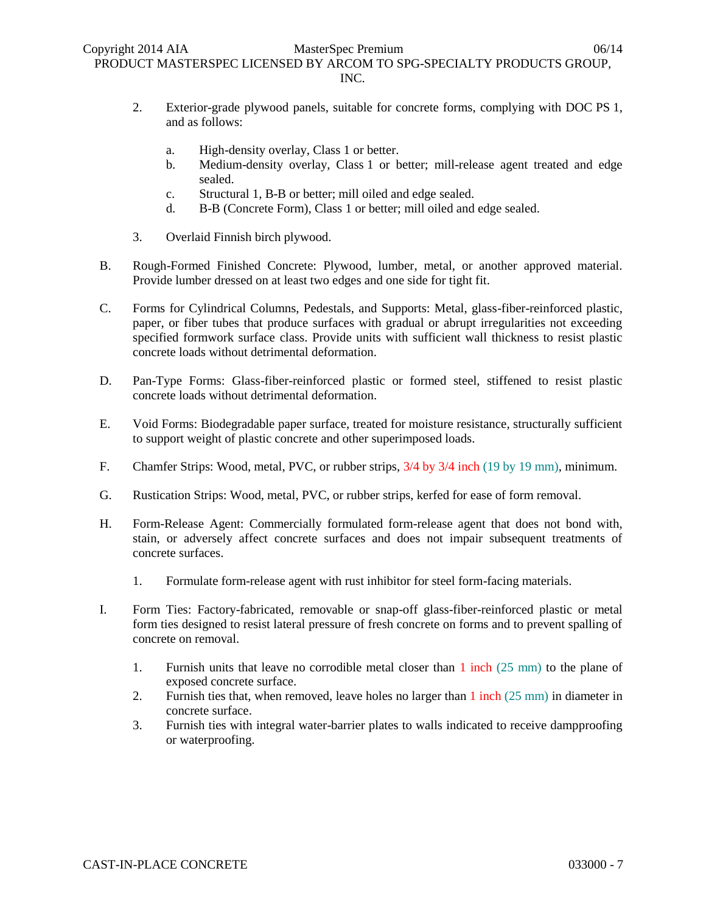- 2. Exterior-grade plywood panels, suitable for concrete forms, complying with DOC PS 1, and as follows:
	- a. High-density overlay, Class 1 or better.
	- b. Medium-density overlay, Class 1 or better; mill-release agent treated and edge sealed.
	- c. Structural 1, B-B or better; mill oiled and edge sealed.
	- d. B-B (Concrete Form), Class 1 or better; mill oiled and edge sealed.
- 3. Overlaid Finnish birch plywood.
- B. Rough-Formed Finished Concrete: Plywood, lumber, metal, or another approved material. Provide lumber dressed on at least two edges and one side for tight fit.
- C. Forms for Cylindrical Columns, Pedestals, and Supports: Metal, glass-fiber-reinforced plastic, paper, or fiber tubes that produce surfaces with gradual or abrupt irregularities not exceeding specified formwork surface class. Provide units with sufficient wall thickness to resist plastic concrete loads without detrimental deformation.
- D. Pan-Type Forms: Glass-fiber-reinforced plastic or formed steel, stiffened to resist plastic concrete loads without detrimental deformation.
- E. Void Forms: Biodegradable paper surface, treated for moisture resistance, structurally sufficient to support weight of plastic concrete and other superimposed loads.
- F. Chamfer Strips: Wood, metal, PVC, or rubber strips, 3/4 by 3/4 inch (19 by 19 mm), minimum.
- G. Rustication Strips: Wood, metal, PVC, or rubber strips, kerfed for ease of form removal.
- H. Form-Release Agent: Commercially formulated form-release agent that does not bond with, stain, or adversely affect concrete surfaces and does not impair subsequent treatments of concrete surfaces.
	- 1. Formulate form-release agent with rust inhibitor for steel form-facing materials.
- I. Form Ties: Factory-fabricated, removable or snap-off glass-fiber-reinforced plastic or metal form ties designed to resist lateral pressure of fresh concrete on forms and to prevent spalling of concrete on removal.
	- 1. Furnish units that leave no corrodible metal closer than 1 inch (25 mm) to the plane of exposed concrete surface.
	- 2. Furnish ties that, when removed, leave holes no larger than 1 inch (25 mm) in diameter in concrete surface.
	- 3. Furnish ties with integral water-barrier plates to walls indicated to receive dampproofing or waterproofing.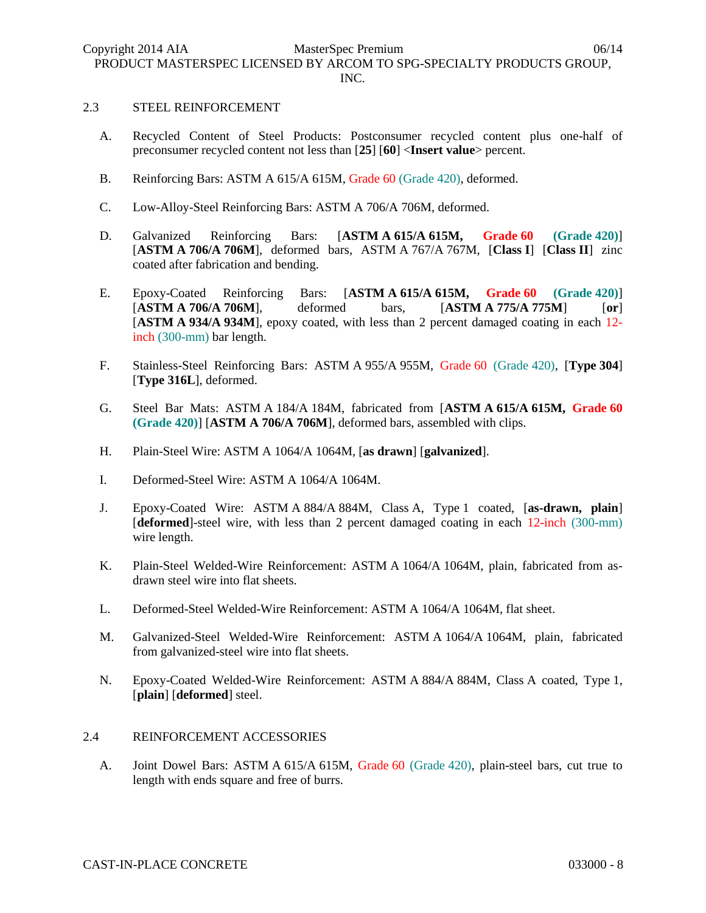#### 2.3 STEEL REINFORCEMENT

- A. Recycled Content of Steel Products: Postconsumer recycled content plus one-half of preconsumer recycled content not less than [**25**] [**60**] <**Insert value**> percent.
- B. Reinforcing Bars: ASTM A 615/A 615M, Grade 60 (Grade 420), deformed.
- C. Low-Alloy-Steel Reinforcing Bars: ASTM A 706/A 706M, deformed.
- D. Galvanized Reinforcing Bars: [**ASTM A 615/A 615M, Grade 60 (Grade 420)**] [**ASTM A 706/A 706M**], deformed bars, ASTM A 767/A 767M, [**Class I**] [**Class II**] zinc coated after fabrication and bending.
- E. Epoxy-Coated Reinforcing Bars: [**ASTM A 615/A 615M, Grade 60 (Grade 420)**] [**ASTM A 706/A 706M**], deformed bars, [**ASTM A 775/A 775M**] [**or**] [**ASTM A 934/A 934M**], epoxy coated, with less than 2 percent damaged coating in each 12 inch (300-mm) bar length.
- F. Stainless-Steel Reinforcing Bars: ASTM A 955/A 955M, Grade 60 (Grade 420), [**Type 304**] [**Type 316L**], deformed.
- G. Steel Bar Mats: ASTM A 184/A 184M, fabricated from [**ASTM A 615/A 615M, Grade 60 (Grade 420)**] [**ASTM A 706/A 706M**], deformed bars, assembled with clips.
- H. Plain-Steel Wire: ASTM A 1064/A 1064M, [**as drawn**] [**galvanized**].
- I. Deformed-Steel Wire: ASTM A 1064/A 1064M.
- J. Epoxy-Coated Wire: ASTM A 884/A 884M, Class A, Type 1 coated, [**as-drawn, plain**] [**deformed**]-steel wire, with less than 2 percent damaged coating in each 12-inch (300-mm) wire length.
- K. Plain-Steel Welded-Wire Reinforcement: ASTM A 1064/A 1064M, plain, fabricated from asdrawn steel wire into flat sheets.
- L. Deformed-Steel Welded-Wire Reinforcement: ASTM A 1064/A 1064M, flat sheet.
- M. Galvanized-Steel Welded-Wire Reinforcement: ASTM A 1064/A 1064M, plain, fabricated from galvanized-steel wire into flat sheets.
- N. Epoxy-Coated Welded-Wire Reinforcement: ASTM A 884/A 884M, Class A coated, Type 1, [**plain**] [**deformed**] steel.

# 2.4 REINFORCEMENT ACCESSORIES

A. Joint Dowel Bars: ASTM A 615/A 615M, Grade 60 (Grade 420), plain-steel bars, cut true to length with ends square and free of burrs.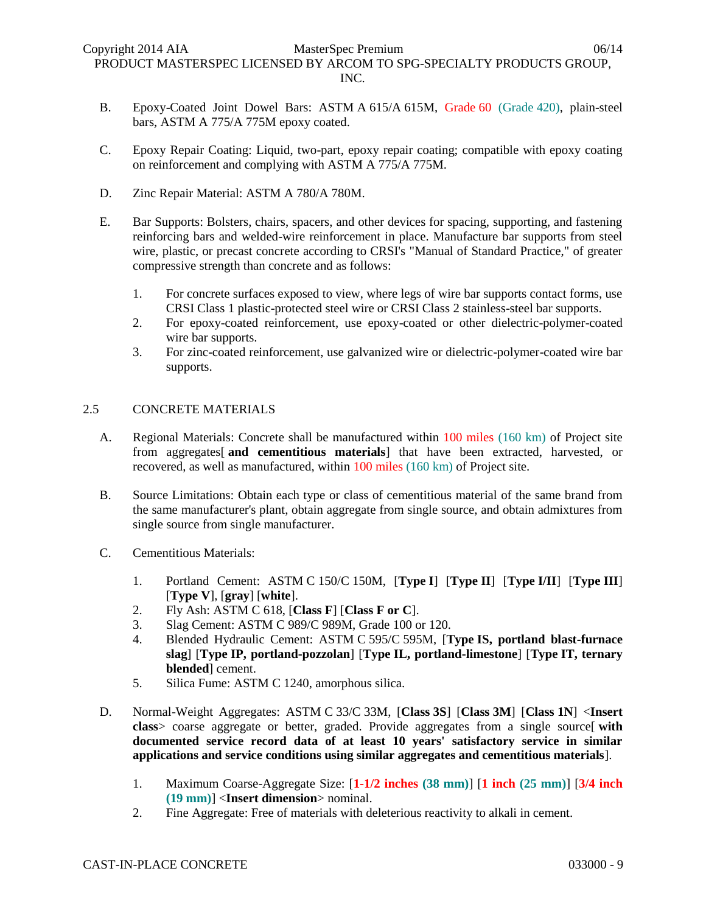- B. Epoxy-Coated Joint Dowel Bars: ASTM A 615/A 615M, Grade 60 (Grade 420), plain-steel bars, ASTM A 775/A 775M epoxy coated.
- C. Epoxy Repair Coating: Liquid, two-part, epoxy repair coating; compatible with epoxy coating on reinforcement and complying with ASTM A 775/A 775M.
- D. Zinc Repair Material: ASTM A 780/A 780M.
- E. Bar Supports: Bolsters, chairs, spacers, and other devices for spacing, supporting, and fastening reinforcing bars and welded-wire reinforcement in place. Manufacture bar supports from steel wire, plastic, or precast concrete according to CRSI's "Manual of Standard Practice," of greater compressive strength than concrete and as follows:
	- 1. For concrete surfaces exposed to view, where legs of wire bar supports contact forms, use CRSI Class 1 plastic-protected steel wire or CRSI Class 2 stainless-steel bar supports.
	- 2. For epoxy-coated reinforcement, use epoxy-coated or other dielectric-polymer-coated wire bar supports.
	- 3. For zinc-coated reinforcement, use galvanized wire or dielectric-polymer-coated wire bar supports.

# 2.5 CONCRETE MATERIALS

- A. Regional Materials: Concrete shall be manufactured within 100 miles (160 km) of Project site from aggregates[ **and cementitious materials**] that have been extracted, harvested, or recovered, as well as manufactured, within 100 miles (160 km) of Project site.
- B. Source Limitations: Obtain each type or class of cementitious material of the same brand from the same manufacturer's plant, obtain aggregate from single source, and obtain admixtures from single source from single manufacturer.
- C. Cementitious Materials:
	- 1. Portland Cement: ASTM C 150/C 150M, [**Type I**] [**Type II**] [**Type I/II**] [**Type III**] [**Type V**], [**gray**] [**white**].
	- 2. Fly Ash: ASTM C 618, [**Class F**] [**Class F or C**].
	- 3. Slag Cement: ASTM C 989/C 989M, Grade 100 or 120.
	- 4. Blended Hydraulic Cement: ASTM C 595/C 595M, [**Type IS, portland blast-furnace slag**] [**Type IP, portland-pozzolan**] [**Type IL, portland-limestone**] [**Type IT, ternary blended**] cement.
	- 5. Silica Fume: ASTM C 1240, amorphous silica.
- D. Normal-Weight Aggregates: ASTM C 33/C 33M, [**Class 3S**] [**Class 3M**] [**Class 1N**] <**Insert class**> coarse aggregate or better, graded. Provide aggregates from a single source[ **with documented service record data of at least 10 years' satisfactory service in similar applications and service conditions using similar aggregates and cementitious materials**].
	- 1. Maximum Coarse-Aggregate Size: [**1-1/2 inches (38 mm)**] [**1 inch (25 mm)**] [**3/4 inch (19 mm)**] <**Insert dimension**> nominal.
	- 2. Fine Aggregate: Free of materials with deleterious reactivity to alkali in cement.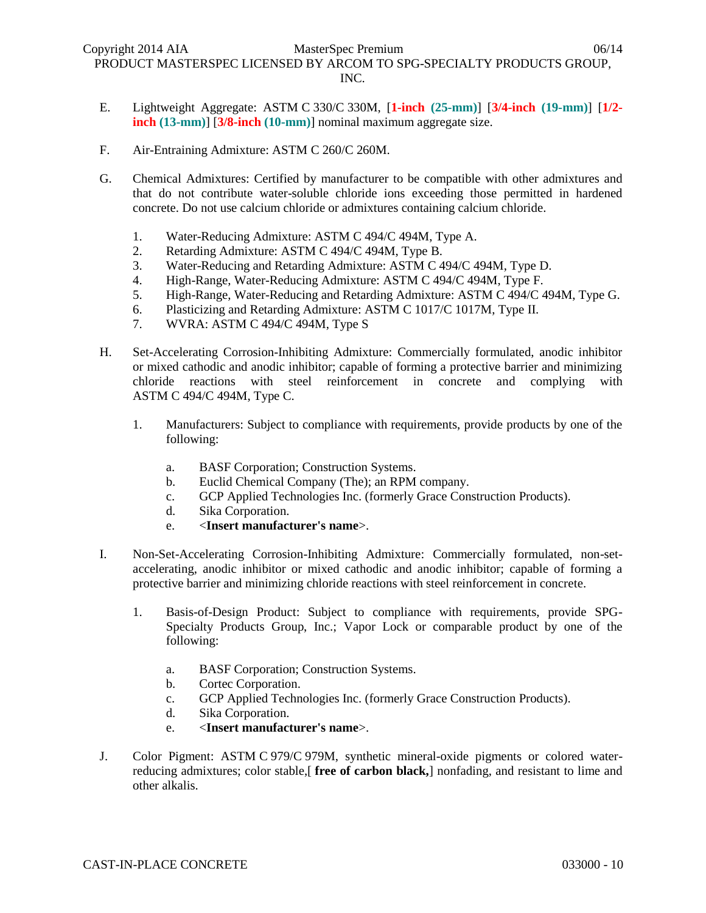- E. Lightweight Aggregate: ASTM C 330/C 330M, [**1-inch (25-mm)**] [**3/4-inch (19-mm)**] [**1/2 inch (13-mm)**] [**3/8-inch (10-mm)**] nominal maximum aggregate size.
- F. Air-Entraining Admixture: ASTM C 260/C 260M.
- G. Chemical Admixtures: Certified by manufacturer to be compatible with other admixtures and that do not contribute water-soluble chloride ions exceeding those permitted in hardened concrete. Do not use calcium chloride or admixtures containing calcium chloride.
	- 1. Water-Reducing Admixture: ASTM C 494/C 494M, Type A.
	- 2. Retarding Admixture: ASTM C 494/C 494M, Type B.
	- 3. Water-Reducing and Retarding Admixture: ASTM C 494/C 494M, Type D.
	- 4. High-Range, Water-Reducing Admixture: ASTM C 494/C 494M, Type F.
	- 5. High-Range, Water-Reducing and Retarding Admixture: ASTM C 494/C 494M, Type G.
	- 6. Plasticizing and Retarding Admixture: ASTM C 1017/C 1017M, Type II.
	- 7. WVRA: ASTM C 494/C 494M, Type S
- H. Set-Accelerating Corrosion-Inhibiting Admixture: Commercially formulated, anodic inhibitor or mixed cathodic and anodic inhibitor; capable of forming a protective barrier and minimizing chloride reactions with steel reinforcement in concrete and complying with ASTM C 494/C 494M, Type C.
	- 1. Manufacturers: Subject to compliance with requirements, provide products by one of the following:
		- a. BASF Corporation; Construction Systems.
		- b. Euclid Chemical Company (The); an RPM company.
		- c. GCP Applied Technologies Inc. (formerly Grace Construction Products).
		- d. Sika Corporation.
		- e. <**Insert manufacturer's name**>.
- I. Non-Set-Accelerating Corrosion-Inhibiting Admixture: Commercially formulated, non-setaccelerating, anodic inhibitor or mixed cathodic and anodic inhibitor; capable of forming a protective barrier and minimizing chloride reactions with steel reinforcement in concrete.
	- 1. Basis-of-Design Product: Subject to compliance with requirements, provide SPG-Specialty Products Group, Inc.; Vapor Lock or comparable product by one of the following:
		- a. BASF Corporation; Construction Systems.
		- b. Cortec Corporation.
		- c. GCP Applied Technologies Inc. (formerly Grace Construction Products).
		- d. Sika Corporation.
		- e. <**Insert manufacturer's name**>.
- J. Color Pigment: ASTM C 979/C 979M, synthetic mineral-oxide pigments or colored waterreducing admixtures; color stable,[ **free of carbon black,**] nonfading, and resistant to lime and other alkalis.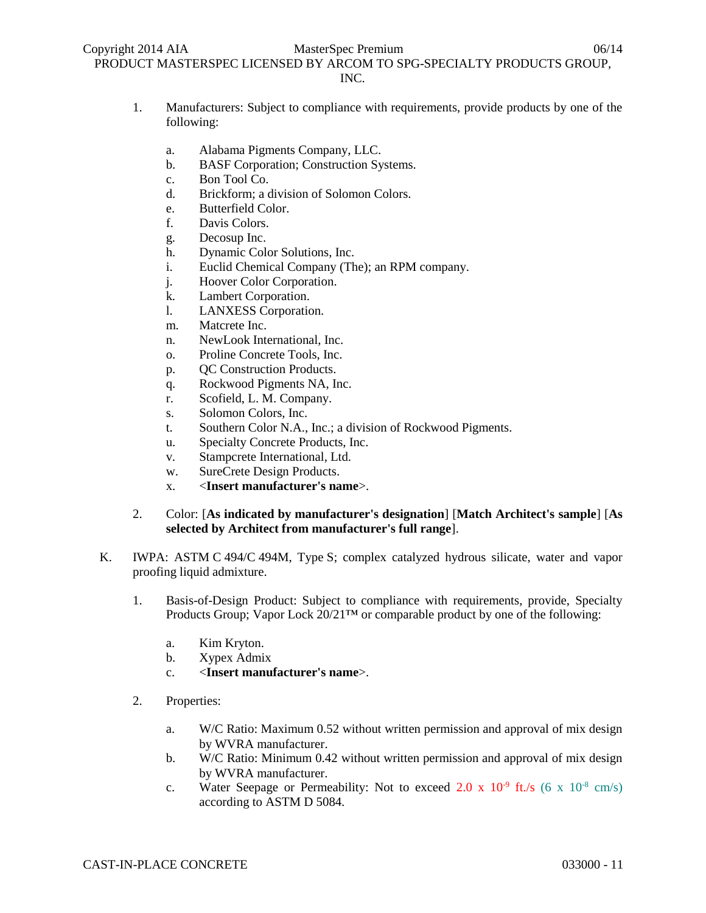- 1. Manufacturers: Subject to compliance with requirements, provide products by one of the following:
	- a. Alabama Pigments Company, LLC.
	- b. BASF Corporation; Construction Systems.
	- c. Bon Tool Co.
	- d. Brickform; a division of Solomon Colors.
	- e. Butterfield Color.
	- f. Davis Colors.
	- g. Decosup Inc.
	- h. Dynamic Color Solutions, Inc.
	- i. Euclid Chemical Company (The); an RPM company.
	- j. Hoover Color Corporation.
	- k. Lambert Corporation.
	- l. LANXESS Corporation.
	- m. Matcrete Inc.
	- n. NewLook International, Inc.
	- o. Proline Concrete Tools, Inc.
	- p. QC Construction Products.
	- q. Rockwood Pigments NA, Inc.
	- r. Scofield, L. M. Company.
	- s. Solomon Colors, Inc.
	- t. Southern Color N.A., Inc.; a division of Rockwood Pigments.
	- u. Specialty Concrete Products, Inc.
	- v. Stampcrete International, Ltd.
	- w. SureCrete Design Products.
	- x. <**Insert manufacturer's name**>.
- 2. Color: [**As indicated by manufacturer's designation**] [**Match Architect's sample**] [**As selected by Architect from manufacturer's full range**].
- K. IWPA: ASTM C 494/C 494M, Type S; complex catalyzed hydrous silicate, water and vapor proofing liquid admixture.
	- 1. Basis-of-Design Product: Subject to compliance with requirements, provide, Specialty Products Group; Vapor Lock 20/21™ or comparable product by one of the following:
		- a. Kim Kryton.
		- b. Xypex Admix
		- c. <**Insert manufacturer's name**>.
	- 2. Properties:
		- a. W/C Ratio: Maximum 0.52 without written permission and approval of mix design by WVRA manufacturer.
		- b. W/C Ratio: Minimum 0.42 without written permission and approval of mix design by WVRA manufacturer.
		- c. Water Seepage or Permeability: Not to exceed 2.0 x  $10^{-9}$  ft./s (6 x  $10^{-8}$  cm/s) according to ASTM D 5084.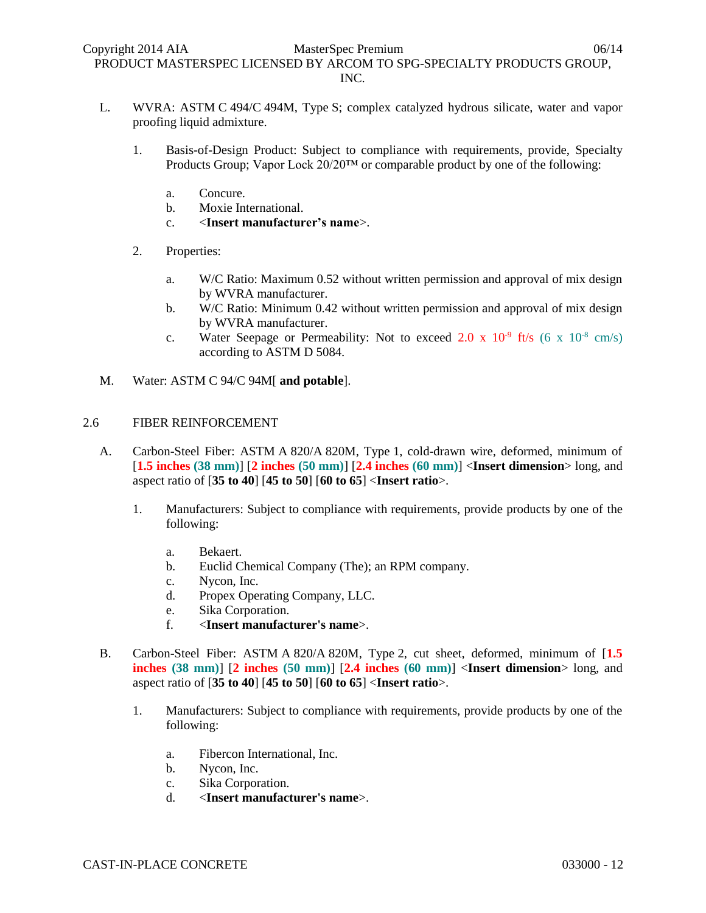- L. WVRA: ASTM C 494/C 494M, Type S; complex catalyzed hydrous silicate, water and vapor proofing liquid admixture.
	- 1. Basis-of-Design Product: Subject to compliance with requirements, provide, Specialty Products Group; Vapor Lock 20/20™ or comparable product by one of the following:
		- a. Concure.
		- b. Moxie International.
		- c. <**Insert manufacturer's name**>.
	- 2. Properties:
		- a. W/C Ratio: Maximum 0.52 without written permission and approval of mix design by WVRA manufacturer.
		- b. W/C Ratio: Minimum 0.42 without written permission and approval of mix design by WVRA manufacturer.
		- c. Water Seepage or Permeability: Not to exceed 2.0 x  $10^{-9}$  ft/s (6 x  $10^{-8}$  cm/s) according to ASTM D 5084.
- M. Water: ASTM C 94/C 94M[ **and potable**].

# 2.6 FIBER REINFORCEMENT

- A. Carbon-Steel Fiber: ASTM A 820/A 820M, Type 1, cold-drawn wire, deformed, minimum of [**1.5 inches (38 mm)**] [**2 inches (50 mm)**] [**2.4 inches (60 mm)**] <**Insert dimension**> long, and aspect ratio of [**35 to 40**] [**45 to 50**] [**60 to 65**] <**Insert ratio**>.
	- 1. Manufacturers: Subject to compliance with requirements, provide products by one of the following:
		- a. Bekaert.
		- b. Euclid Chemical Company (The); an RPM company.
		- c. Nycon, Inc.
		- d. Propex Operating Company, LLC.
		- e. Sika Corporation.
		- f. <**Insert manufacturer's name**>.
- B. Carbon-Steel Fiber: ASTM A 820/A 820M, Type 2, cut sheet, deformed, minimum of [**1.5 inches (38 mm)**] [**2 inches (50 mm)**] [**2.4 inches (60 mm)**] <**Insert dimension**> long, and aspect ratio of [**35 to 40**] [**45 to 50**] [**60 to 65**] <**Insert ratio**>.
	- 1. Manufacturers: Subject to compliance with requirements, provide products by one of the following:
		- a. Fibercon International, Inc.
		- b. Nycon, Inc.
		- c. Sika Corporation.
		- d. <**Insert manufacturer's name**>.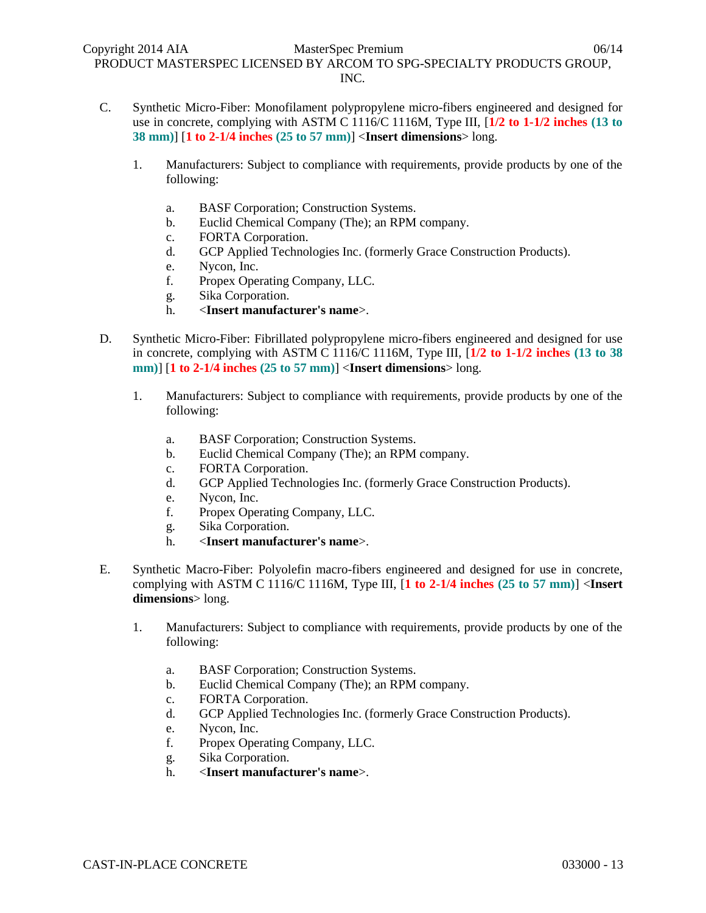- C. Synthetic Micro-Fiber: Monofilament polypropylene micro-fibers engineered and designed for use in concrete, complying with ASTM C 1116/C 1116M, Type III, [**1/2 to 1-1/2 inches (13 to 38 mm)**] [**1 to 2-1/4 inches (25 to 57 mm)**] <**Insert dimensions**> long.
	- 1. Manufacturers: Subject to compliance with requirements, provide products by one of the following:
		- a. BASF Corporation; Construction Systems.
		- b. Euclid Chemical Company (The); an RPM company.
		- c. FORTA Corporation.
		- d. GCP Applied Technologies Inc. (formerly Grace Construction Products).
		- e. Nycon, Inc.
		- f. Propex Operating Company, LLC.
		- g. Sika Corporation.
		- h. <**Insert manufacturer's name**>.
- D. Synthetic Micro-Fiber: Fibrillated polypropylene micro-fibers engineered and designed for use in concrete, complying with ASTM C 1116/C 1116M, Type III, [**1/2 to 1-1/2 inches (13 to 38 mm)**] [**1 to 2-1/4 inches (25 to 57 mm)**] <**Insert dimensions**> long.
	- 1. Manufacturers: Subject to compliance with requirements, provide products by one of the following:
		- a. BASF Corporation; Construction Systems.
		- b. Euclid Chemical Company (The); an RPM company.
		- c. FORTA Corporation.
		- d. GCP Applied Technologies Inc. (formerly Grace Construction Products).
		- e. Nycon, Inc.
		- f. Propex Operating Company, LLC.
		- g. Sika Corporation.
		- h. <**Insert manufacturer's name**>.
- E. Synthetic Macro-Fiber: Polyolefin macro-fibers engineered and designed for use in concrete, complying with ASTM C 1116/C 1116M, Type III, [**1 to 2-1/4 inches (25 to 57 mm)**] <**Insert dimensions**> long.
	- 1. Manufacturers: Subject to compliance with requirements, provide products by one of the following:
		- a. BASF Corporation; Construction Systems.
		- b. Euclid Chemical Company (The); an RPM company.
		- c. FORTA Corporation.
		- d. GCP Applied Technologies Inc. (formerly Grace Construction Products).
		- e. Nycon, Inc.
		- f. Propex Operating Company, LLC.
		- g. Sika Corporation.
		- h. <**Insert manufacturer's name**>.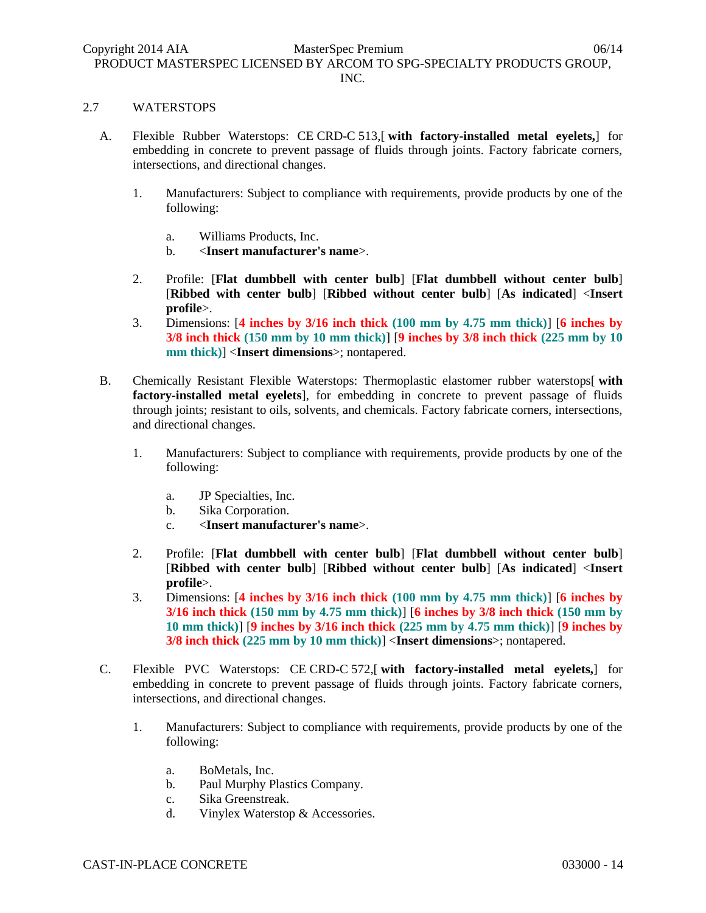### 2.7 WATERSTOPS

- A. Flexible Rubber Waterstops: CE CRD-C 513,[ **with factory-installed metal eyelets,**] for embedding in concrete to prevent passage of fluids through joints. Factory fabricate corners, intersections, and directional changes.
	- 1. Manufacturers: Subject to compliance with requirements, provide products by one of the following:
		- a. Williams Products, Inc.
		- b. <**Insert manufacturer's name**>.
	- 2. Profile: [**Flat dumbbell with center bulb**] [**Flat dumbbell without center bulb**] [**Ribbed with center bulb**] [**Ribbed without center bulb**] [**As indicated**] <**Insert profile**>.
	- 3. Dimensions: [**4 inches by 3/16 inch thick (100 mm by 4.75 mm thick)**] [**6 inches by 3/8 inch thick (150 mm by 10 mm thick)**] [**9 inches by 3/8 inch thick (225 mm by 10 mm thick)**] <**Insert dimensions**>; nontapered.
- B. Chemically Resistant Flexible Waterstops: Thermoplastic elastomer rubber waterstops[ **with factory-installed metal eyelets**], for embedding in concrete to prevent passage of fluids through joints; resistant to oils, solvents, and chemicals. Factory fabricate corners, intersections, and directional changes.
	- 1. Manufacturers: Subject to compliance with requirements, provide products by one of the following:
		- a. JP Specialties, Inc.
		- b. Sika Corporation.
		- c. <**Insert manufacturer's name**>.
	- 2. Profile: [**Flat dumbbell with center bulb**] [**Flat dumbbell without center bulb**] [**Ribbed with center bulb**] [**Ribbed without center bulb**] [**As indicated**] <**Insert profile**>.
	- 3. Dimensions: [**4 inches by 3/16 inch thick (100 mm by 4.75 mm thick)**] [**6 inches by 3/16 inch thick (150 mm by 4.75 mm thick)**] [**6 inches by 3/8 inch thick (150 mm by 10 mm thick)**] [**9 inches by 3/16 inch thick (225 mm by 4.75 mm thick)**] [**9 inches by 3/8 inch thick (225 mm by 10 mm thick)**] <**Insert dimensions**>; nontapered.
- C. Flexible PVC Waterstops: CE CRD-C 572,[ **with factory-installed metal eyelets,**] for embedding in concrete to prevent passage of fluids through joints. Factory fabricate corners, intersections, and directional changes.
	- 1. Manufacturers: Subject to compliance with requirements, provide products by one of the following:
		- a. BoMetals, Inc.
		- b. Paul Murphy Plastics Company.
		- c. Sika Greenstreak.
		- d. Vinylex Waterstop & Accessories.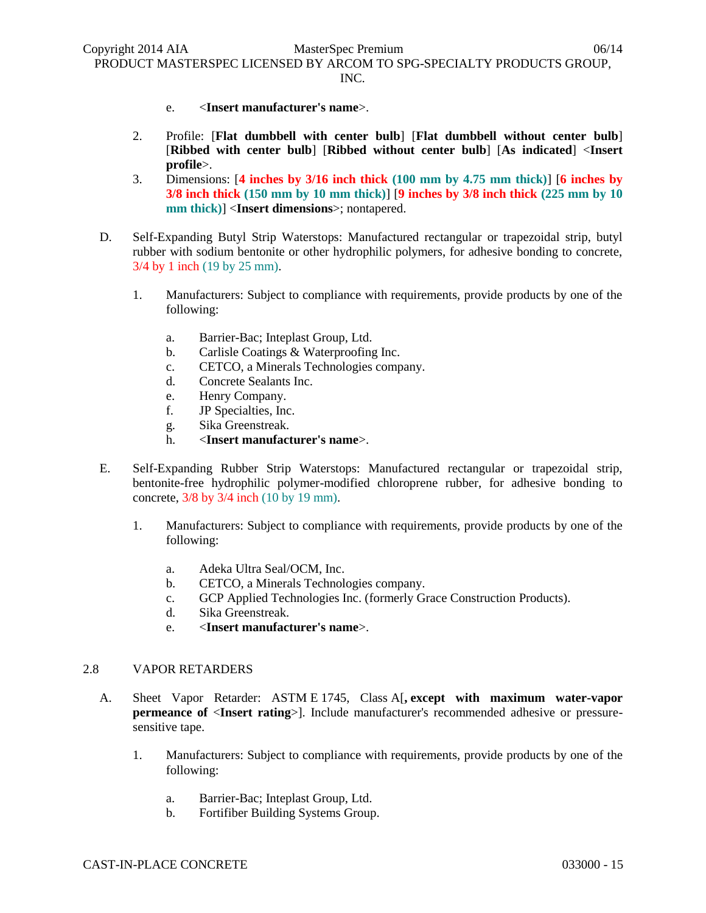- e. <**Insert manufacturer's name**>.
- 2. Profile: [**Flat dumbbell with center bulb**] [**Flat dumbbell without center bulb**] [**Ribbed with center bulb**] [**Ribbed without center bulb**] [**As indicated**] <**Insert profile**>.
- 3. Dimensions: [**4 inches by 3/16 inch thick (100 mm by 4.75 mm thick)**] [**6 inches by 3/8 inch thick (150 mm by 10 mm thick)**] [**9 inches by 3/8 inch thick (225 mm by 10 mm thick)**] <**Insert dimensions**>; nontapered.
- D. Self-Expanding Butyl Strip Waterstops: Manufactured rectangular or trapezoidal strip, butyl rubber with sodium bentonite or other hydrophilic polymers, for adhesive bonding to concrete, 3/4 by 1 inch (19 by 25 mm).
	- 1. Manufacturers: Subject to compliance with requirements, provide products by one of the following:
		- a. Barrier-Bac; Inteplast Group, Ltd.
		- b. Carlisle Coatings & Waterproofing Inc.
		- c. CETCO, a Minerals Technologies company.
		- d. Concrete Sealants Inc.
		- e. Henry Company.
		- f. JP Specialties, Inc.
		- g. Sika Greenstreak.
		- h. <**Insert manufacturer's name**>.
- E. Self-Expanding Rubber Strip Waterstops: Manufactured rectangular or trapezoidal strip, bentonite-free hydrophilic polymer-modified chloroprene rubber, for adhesive bonding to concrete, 3/8 by 3/4 inch (10 by 19 mm).
	- 1. Manufacturers: Subject to compliance with requirements, provide products by one of the following:
		- a. Adeka Ultra Seal/OCM, Inc.
		- b. CETCO, a Minerals Technologies company.
		- c. GCP Applied Technologies Inc. (formerly Grace Construction Products).
		- d. Sika Greenstreak.
		- e. <**Insert manufacturer's name**>.

### 2.8 VAPOR RETARDERS

- A. Sheet Vapor Retarder: ASTM E 1745, Class A[**, except with maximum water-vapor permeance of** <**Insert rating**>]. Include manufacturer's recommended adhesive or pressuresensitive tape.
	- 1. Manufacturers: Subject to compliance with requirements, provide products by one of the following:
		- a. Barrier-Bac; Inteplast Group, Ltd.
		- b. Fortifiber Building Systems Group.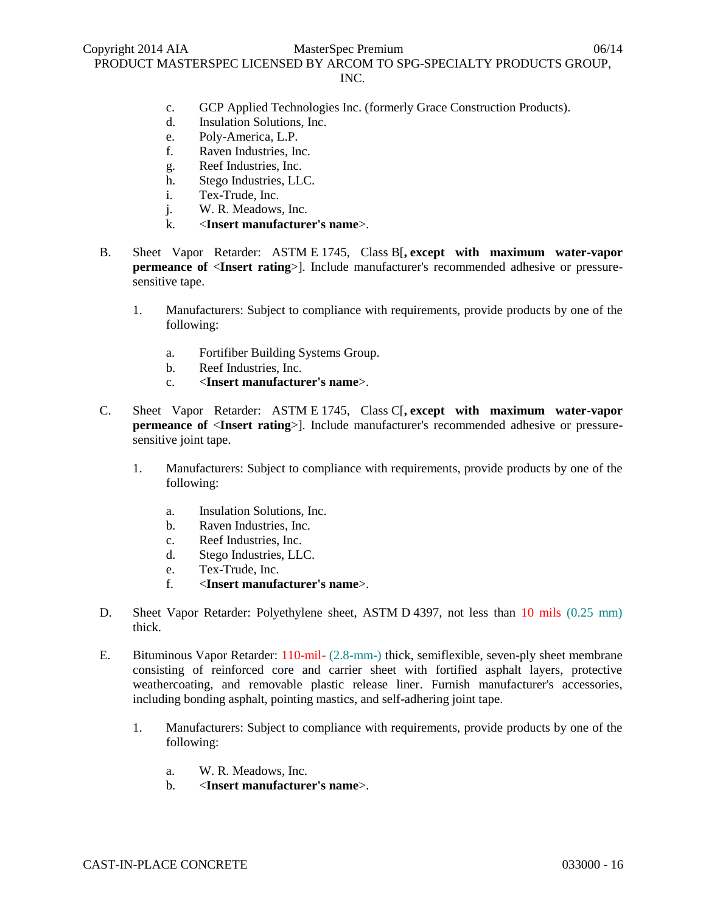- INC.
- c. GCP Applied Technologies Inc. (formerly Grace Construction Products).
- d. Insulation Solutions, Inc.
- e. Poly-America, L.P.
- f. Raven Industries, Inc.
- g. Reef Industries, Inc.
- h. Stego Industries, LLC.
- i. Tex-Trude, Inc.
- j. W. R. Meadows, Inc.
- k. <**Insert manufacturer's name**>.
- B. Sheet Vapor Retarder: ASTM E 1745, Class B[**, except with maximum water-vapor permeance of** <**Insert rating**>]. Include manufacturer's recommended adhesive or pressuresensitive tape.
	- 1. Manufacturers: Subject to compliance with requirements, provide products by one of the following:
		- a. Fortifiber Building Systems Group.
		- b. Reef Industries, Inc.
		- c. <**Insert manufacturer's name**>.
- C. Sheet Vapor Retarder: ASTM E 1745, Class C[**, except with maximum water-vapor permeance of** <**Insert rating**>]. Include manufacturer's recommended adhesive or pressuresensitive joint tape.
	- 1. Manufacturers: Subject to compliance with requirements, provide products by one of the following:
		- a. Insulation Solutions, Inc.
		- b. Raven Industries, Inc.
		- c. Reef Industries, Inc.
		- d. Stego Industries, LLC.
		- e. Tex-Trude, Inc.
		- f. <**Insert manufacturer's name**>.
- D. Sheet Vapor Retarder: Polyethylene sheet, ASTM D 4397, not less than 10 mils (0.25 mm) thick.
- E. Bituminous Vapor Retarder: 110-mil- (2.8-mm-) thick, semiflexible, seven-ply sheet membrane consisting of reinforced core and carrier sheet with fortified asphalt layers, protective weathercoating, and removable plastic release liner. Furnish manufacturer's accessories, including bonding asphalt, pointing mastics, and self-adhering joint tape.
	- 1. Manufacturers: Subject to compliance with requirements, provide products by one of the following:
		- a. W. R. Meadows, Inc.
		- b. <**Insert manufacturer's name**>.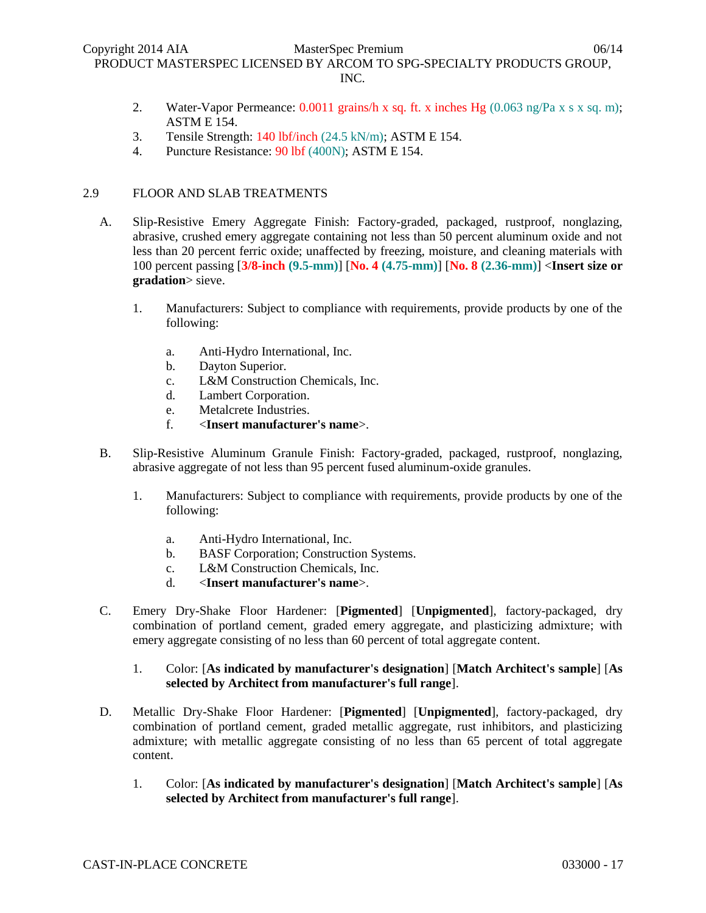- 2. Water-Vapor Permeance: 0.0011 grains/h x sq. ft. x inches Hg (0.063 ng/Pa x s x sq. m); ASTM E 154.
- 3. Tensile Strength: 140 lbf/inch (24.5 kN/m); ASTM E 154.
- 4. Puncture Resistance: 90 lbf (400N); ASTM E 154.

# 2.9 FLOOR AND SLAB TREATMENTS

- A. Slip-Resistive Emery Aggregate Finish: Factory-graded, packaged, rustproof, nonglazing, abrasive, crushed emery aggregate containing not less than 50 percent aluminum oxide and not less than 20 percent ferric oxide; unaffected by freezing, moisture, and cleaning materials with 100 percent passing [**3/8-inch (9.5-mm)**] [**No. 4 (4.75-mm)**] [**No. 8 (2.36-mm)**] <**Insert size or gradation**> sieve.
	- 1. Manufacturers: Subject to compliance with requirements, provide products by one of the following:
		- a. Anti-Hydro International, Inc.
		- b. Dayton Superior.
		- c. L&M Construction Chemicals, Inc.
		- d. Lambert Corporation.
		- e. Metalcrete Industries.
		- f. <**Insert manufacturer's name**>.
- B. Slip-Resistive Aluminum Granule Finish: Factory-graded, packaged, rustproof, nonglazing, abrasive aggregate of not less than 95 percent fused aluminum-oxide granules.
	- 1. Manufacturers: Subject to compliance with requirements, provide products by one of the following:
		- a. Anti-Hydro International, Inc.
		- b. BASF Corporation; Construction Systems.
		- c. L&M Construction Chemicals, Inc.
		- d. <**Insert manufacturer's name**>.
- C. Emery Dry-Shake Floor Hardener: [**Pigmented**] [**Unpigmented**], factory-packaged, dry combination of portland cement, graded emery aggregate, and plasticizing admixture; with emery aggregate consisting of no less than 60 percent of total aggregate content.
	- 1. Color: [**As indicated by manufacturer's designation**] [**Match Architect's sample**] [**As selected by Architect from manufacturer's full range**].
- D. Metallic Dry-Shake Floor Hardener: [**Pigmented**] [**Unpigmented**], factory-packaged, dry combination of portland cement, graded metallic aggregate, rust inhibitors, and plasticizing admixture; with metallic aggregate consisting of no less than 65 percent of total aggregate content.
	- 1. Color: [**As indicated by manufacturer's designation**] [**Match Architect's sample**] [**As selected by Architect from manufacturer's full range**].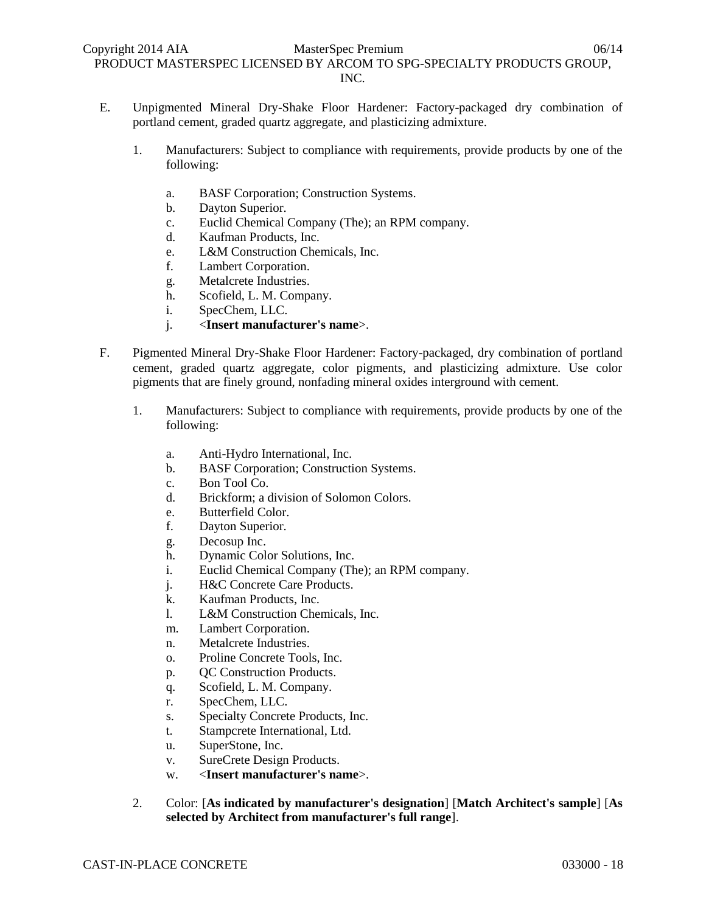- E. Unpigmented Mineral Dry-Shake Floor Hardener: Factory-packaged dry combination of portland cement, graded quartz aggregate, and plasticizing admixture.
	- 1. Manufacturers: Subject to compliance with requirements, provide products by one of the following:
		- a. BASF Corporation; Construction Systems.
		- b. Dayton Superior.
		- c. Euclid Chemical Company (The); an RPM company.
		- d. Kaufman Products, Inc.
		- e. L&M Construction Chemicals, Inc.
		- f. Lambert Corporation.
		- g. Metalcrete Industries.
		- h. Scofield, L. M. Company.
		- i. SpecChem, LLC.
		- j. <**Insert manufacturer's name**>.
- F. Pigmented Mineral Dry-Shake Floor Hardener: Factory-packaged, dry combination of portland cement, graded quartz aggregate, color pigments, and plasticizing admixture. Use color pigments that are finely ground, nonfading mineral oxides interground with cement.
	- 1. Manufacturers: Subject to compliance with requirements, provide products by one of the following:
		- a. Anti-Hydro International, Inc.
		- b. BASF Corporation; Construction Systems.
		- c. Bon Tool Co.
		- d. Brickform; a division of Solomon Colors.
		- e. Butterfield Color.
		- f. Dayton Superior.
		- g. Decosup Inc.
		- h. Dynamic Color Solutions, Inc.
		- i. Euclid Chemical Company (The); an RPM company.
		- j. H&C Concrete Care Products.
		- k. Kaufman Products, Inc.
		- l. L&M Construction Chemicals, Inc.
		- m. Lambert Corporation.
		- n. Metalcrete Industries.
		- o. Proline Concrete Tools, Inc.
		- p. QC Construction Products.
		- q. Scofield, L. M. Company.
		- r. SpecChem, LLC.
		- s. Specialty Concrete Products, Inc.
		- t. Stampcrete International, Ltd.
		- u. SuperStone, Inc.
		- v. SureCrete Design Products.
		- w. <**Insert manufacturer's name**>.
	- 2. Color: [**As indicated by manufacturer's designation**] [**Match Architect's sample**] [**As selected by Architect from manufacturer's full range**].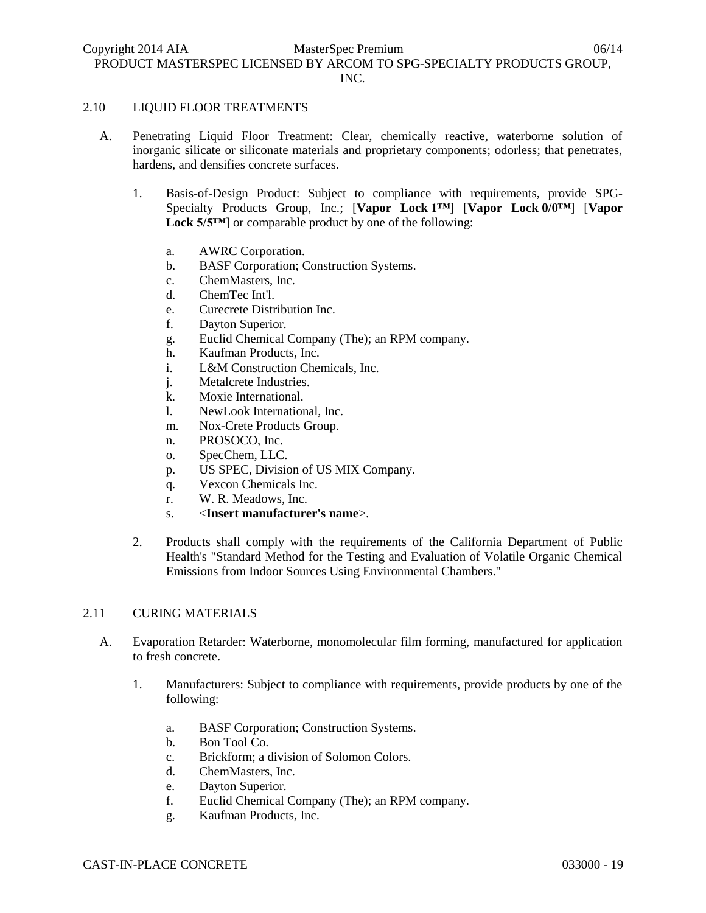#### 2.10 LIQUID FLOOR TREATMENTS

- A. Penetrating Liquid Floor Treatment: Clear, chemically reactive, waterborne solution of inorganic silicate or siliconate materials and proprietary components; odorless; that penetrates, hardens, and densifies concrete surfaces.
	- 1. Basis-of-Design Product: Subject to compliance with requirements, provide SPG-Specialty Products Group, Inc.; [**Vapor Lock 1™**] [**Vapor Lock 0/0™**] [**Vapor Lock 5/5™**] or comparable product by one of the following:
		- a. AWRC Corporation.
		- b. BASF Corporation; Construction Systems.
		- c. ChemMasters, Inc.
		- d. ChemTec Int'l.
		- e. Curecrete Distribution Inc.
		- f. Dayton Superior.
		- g. Euclid Chemical Company (The); an RPM company.
		- h. Kaufman Products, Inc.
		- i. L&M Construction Chemicals, Inc.
		- j. Metalcrete Industries.
		- k. Moxie International.
		- l. NewLook International, Inc.
		- m. Nox-Crete Products Group.
		- n. PROSOCO, Inc.
		- o. SpecChem, LLC.
		- p. US SPEC, Division of US MIX Company.
		- q. Vexcon Chemicals Inc.
		- r. W. R. Meadows, Inc.
		- s. <**Insert manufacturer's name**>.
	- 2. Products shall comply with the requirements of the California Department of Public Health's "Standard Method for the Testing and Evaluation of Volatile Organic Chemical Emissions from Indoor Sources Using Environmental Chambers."

#### 2.11 CURING MATERIALS

- A. Evaporation Retarder: Waterborne, monomolecular film forming, manufactured for application to fresh concrete.
	- 1. Manufacturers: Subject to compliance with requirements, provide products by one of the following:
		- a. BASF Corporation; Construction Systems.
		- b. Bon Tool Co.
		- c. Brickform; a division of Solomon Colors.
		- d. ChemMasters, Inc.
		- e. Dayton Superior.
		- f. Euclid Chemical Company (The); an RPM company.
		- g. Kaufman Products, Inc.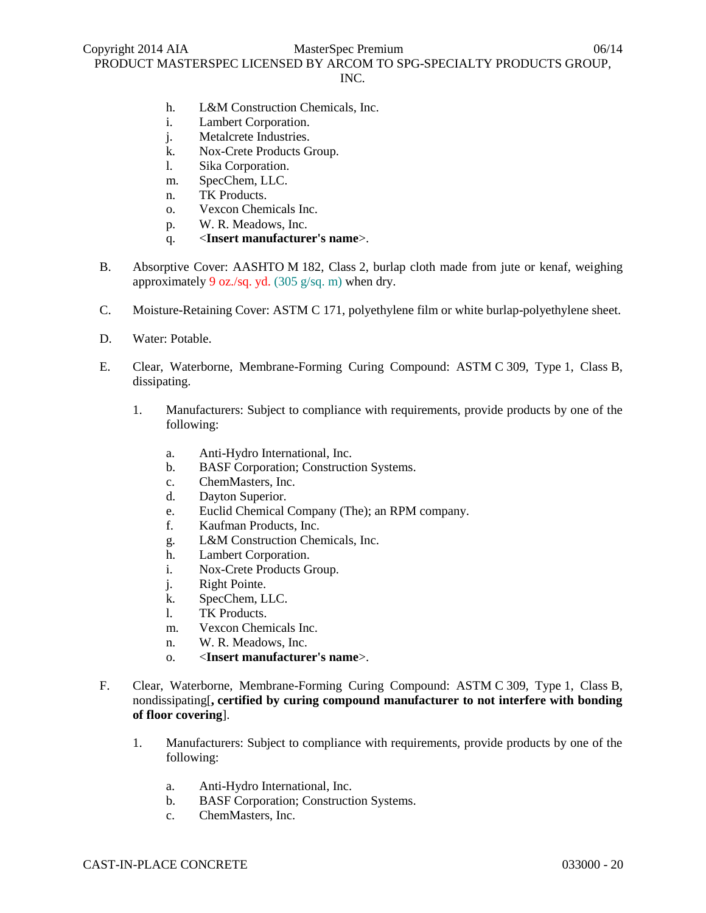# INC.

- h. L&M Construction Chemicals, Inc.
- i. Lambert Corporation.
- j. Metalcrete Industries.
- k. Nox-Crete Products Group.
- l. Sika Corporation.
- m. SpecChem, LLC.
- n. TK Products.
- o. Vexcon Chemicals Inc.
- p. W. R. Meadows, Inc.
- q. <**Insert manufacturer's name**>.
- B. Absorptive Cover: AASHTO M 182, Class 2, burlap cloth made from jute or kenaf, weighing approximately 9 oz./sq. yd. (305 g/sq. m) when dry.
- C. Moisture-Retaining Cover: ASTM C 171, polyethylene film or white burlap-polyethylene sheet.
- D. Water: Potable.
- E. Clear, Waterborne, Membrane-Forming Curing Compound: ASTM C 309, Type 1, Class B, dissipating.
	- 1. Manufacturers: Subject to compliance with requirements, provide products by one of the following:
		- a. Anti-Hydro International, Inc.
		- b. BASF Corporation; Construction Systems.
		- c. ChemMasters, Inc.
		- d. Dayton Superior.
		- e. Euclid Chemical Company (The); an RPM company.
		- f. Kaufman Products, Inc.
		- g. L&M Construction Chemicals, Inc.
		- h. Lambert Corporation.
		- i. Nox-Crete Products Group.
		- j. Right Pointe.
		- k. SpecChem, LLC.
		- l. TK Products.
		- m. Vexcon Chemicals Inc.
		- n. W. R. Meadows, Inc.
		- o. <**Insert manufacturer's name**>.
- F. Clear, Waterborne, Membrane-Forming Curing Compound: ASTM C 309, Type 1, Class B, nondissipating[**, certified by curing compound manufacturer to not interfere with bonding of floor covering**].
	- 1. Manufacturers: Subject to compliance with requirements, provide products by one of the following:
		- a. Anti-Hydro International, Inc.
		- b. BASF Corporation; Construction Systems.
		- c. ChemMasters, Inc.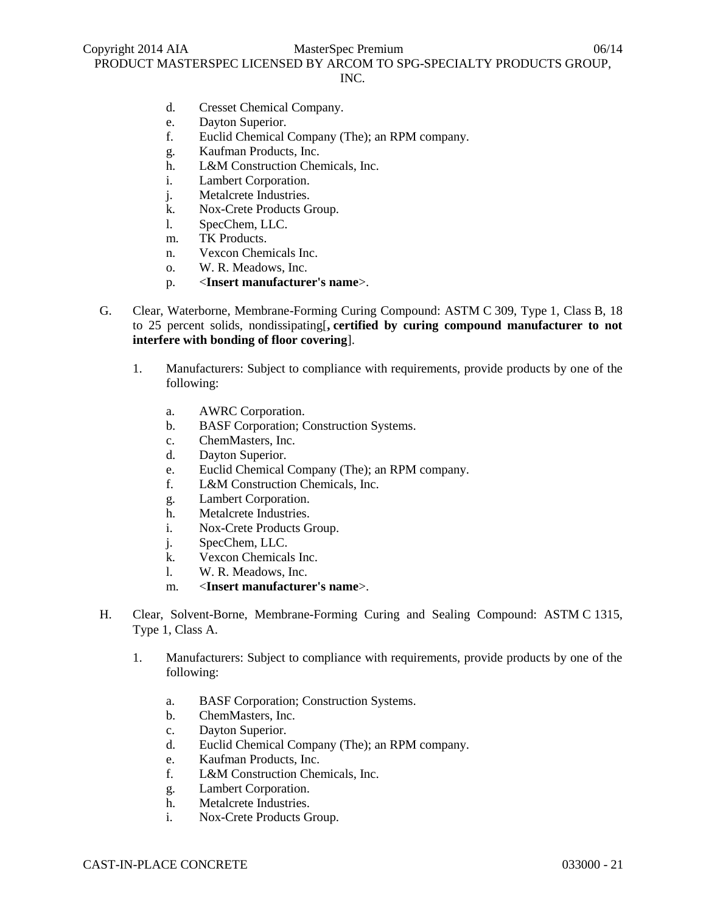### INC.

- d. Cresset Chemical Company.
- e. Dayton Superior.
- f. Euclid Chemical Company (The); an RPM company.
- g. Kaufman Products, Inc.
- h. L&M Construction Chemicals, Inc.
- i. Lambert Corporation.
- j. Metalcrete Industries.
- k. Nox-Crete Products Group.
- l. SpecChem, LLC.
- m. TK Products.
- n. Vexcon Chemicals Inc.
- o. W. R. Meadows, Inc.
- p. <**Insert manufacturer's name**>.
- G. Clear, Waterborne, Membrane-Forming Curing Compound: ASTM C 309, Type 1, Class B, 18 to 25 percent solids, nondissipating[**, certified by curing compound manufacturer to not interfere with bonding of floor covering**].
	- 1. Manufacturers: Subject to compliance with requirements, provide products by one of the following:
		- a. AWRC Corporation.
		- b. BASF Corporation; Construction Systems.
		- c. ChemMasters, Inc.
		- d. Dayton Superior.
		- e. Euclid Chemical Company (The); an RPM company.
		- f. L&M Construction Chemicals, Inc.
		- g. Lambert Corporation.
		- h. Metalcrete Industries.
		- i. Nox-Crete Products Group.
		- j. SpecChem, LLC.
		- k. Vexcon Chemicals Inc.
		- l. W. R. Meadows, Inc.
		- m. <**Insert manufacturer's name**>.
- H. Clear, Solvent-Borne, Membrane-Forming Curing and Sealing Compound: ASTM C 1315, Type 1, Class A.
	- 1. Manufacturers: Subject to compliance with requirements, provide products by one of the following:
		- a. BASF Corporation; Construction Systems.
		- b. ChemMasters, Inc.
		- c. Dayton Superior.
		- d. Euclid Chemical Company (The); an RPM company.
		- e. Kaufman Products, Inc.
		- f. L&M Construction Chemicals, Inc.
		- g. Lambert Corporation.
		- h. Metalcrete Industries.
		- i. Nox-Crete Products Group.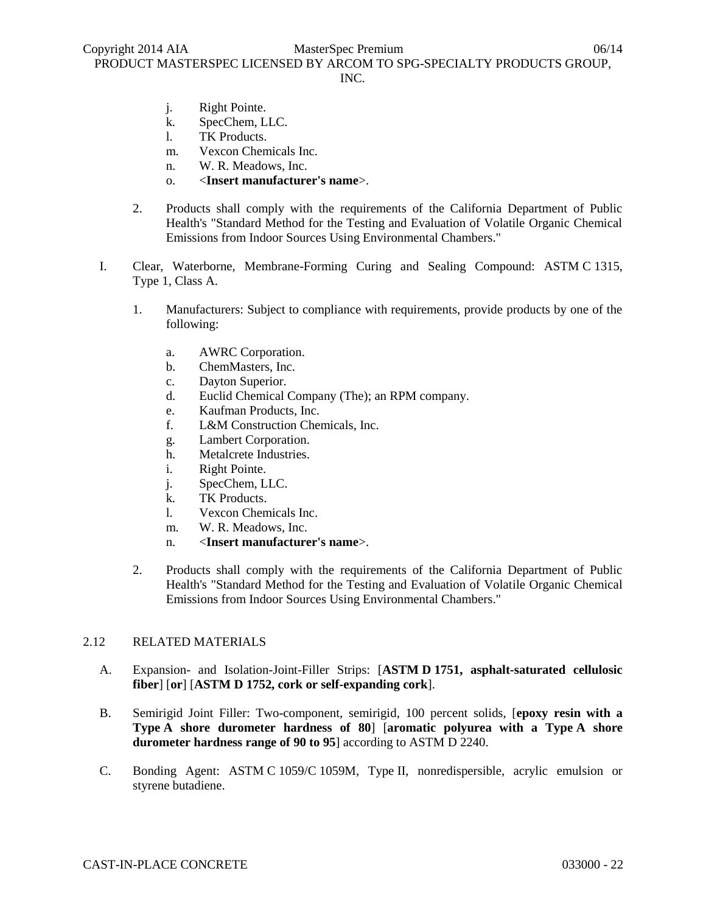- j. Right Pointe.
- k. SpecChem, LLC.
- l. TK Products.
- m. Vexcon Chemicals Inc.
- n. W. R. Meadows, Inc.
- o. <**Insert manufacturer's name**>.
- 2. Products shall comply with the requirements of the California Department of Public Health's "Standard Method for the Testing and Evaluation of Volatile Organic Chemical Emissions from Indoor Sources Using Environmental Chambers."
- I. Clear, Waterborne, Membrane-Forming Curing and Sealing Compound: ASTM C 1315, Type 1, Class A.
	- 1. Manufacturers: Subject to compliance with requirements, provide products by one of the following:
		- a. AWRC Corporation.
		- b. ChemMasters, Inc.
		- c. Dayton Superior.
		- d. Euclid Chemical Company (The); an RPM company.
		- e. Kaufman Products, Inc.
		- f. L&M Construction Chemicals, Inc.
		- g. Lambert Corporation.
		- h. Metalcrete Industries.
		- i. Right Pointe.
		- j. SpecChem, LLC.
		- k. TK Products.
		- l. Vexcon Chemicals Inc.
		- m. W. R. Meadows, Inc.
		- n. <**Insert manufacturer's name**>.
	- 2. Products shall comply with the requirements of the California Department of Public Health's "Standard Method for the Testing and Evaluation of Volatile Organic Chemical Emissions from Indoor Sources Using Environmental Chambers."

### 2.12 RELATED MATERIALS

- A. Expansion- and Isolation-Joint-Filler Strips: [**ASTM D 1751, asphalt-saturated cellulosic fiber**] [**or**] [**ASTM D 1752, cork or self-expanding cork**].
- B. Semirigid Joint Filler: Two-component, semirigid, 100 percent solids, [**epoxy resin with a Type A shore durometer hardness of 80**] [**aromatic polyurea with a Type A shore durometer hardness range of 90 to 95**] according to ASTM D 2240.
- C. Bonding Agent: ASTM C 1059/C 1059M, Type II, nonredispersible, acrylic emulsion or styrene butadiene.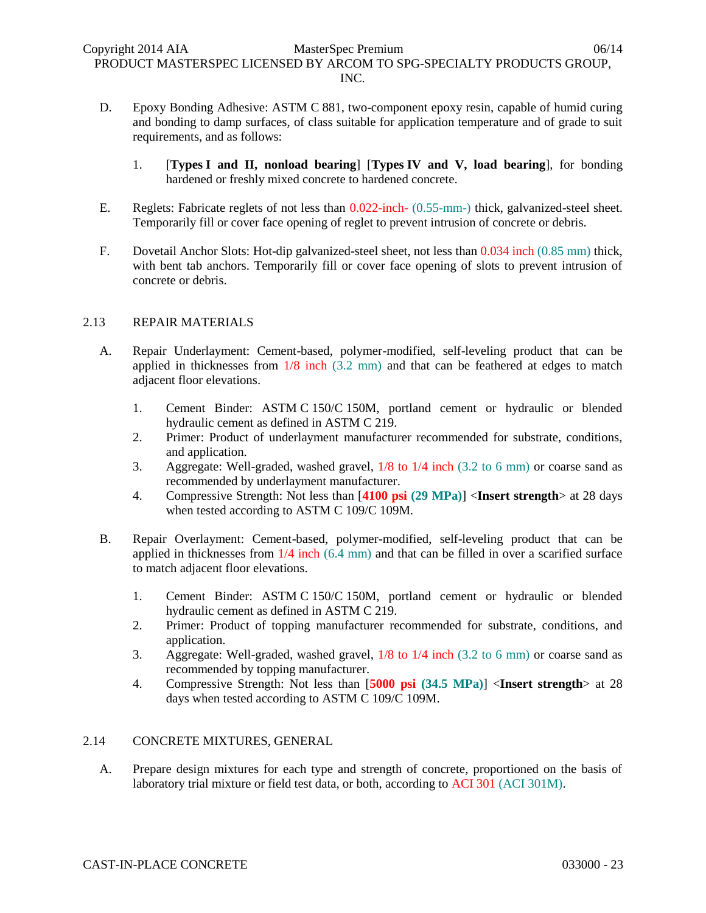- D. Epoxy Bonding Adhesive: ASTM C 881, two-component epoxy resin, capable of humid curing and bonding to damp surfaces, of class suitable for application temperature and of grade to suit requirements, and as follows:
	- 1. [**Types I and II, nonload bearing**] [**Types IV and V, load bearing**], for bonding hardened or freshly mixed concrete to hardened concrete.
- E. Reglets: Fabricate reglets of not less than 0.022-inch- (0.55-mm-) thick, galvanized-steel sheet. Temporarily fill or cover face opening of reglet to prevent intrusion of concrete or debris.
- F. Dovetail Anchor Slots: Hot-dip galvanized-steel sheet, not less than 0.034 inch (0.85 mm) thick, with bent tab anchors. Temporarily fill or cover face opening of slots to prevent intrusion of concrete or debris.

# 2.13 REPAIR MATERIALS

- A. Repair Underlayment: Cement-based, polymer-modified, self-leveling product that can be applied in thicknesses from 1/8 inch (3.2 mm) and that can be feathered at edges to match adjacent floor elevations.
	- 1. Cement Binder: ASTM C 150/C 150M, portland cement or hydraulic or blended hydraulic cement as defined in ASTM C 219.
	- 2. Primer: Product of underlayment manufacturer recommended for substrate, conditions, and application.
	- 3. Aggregate: Well-graded, washed gravel, 1/8 to 1/4 inch (3.2 to 6 mm) or coarse sand as recommended by underlayment manufacturer.
	- 4. Compressive Strength: Not less than [**4100 psi (29 MPa)**] <**Insert strength**> at 28 days when tested according to ASTM C 109/C 109M.
- B. Repair Overlayment: Cement-based, polymer-modified, self-leveling product that can be applied in thicknesses from 1/4 inch (6.4 mm) and that can be filled in over a scarified surface to match adjacent floor elevations.
	- 1. Cement Binder: ASTM C 150/C 150M, portland cement or hydraulic or blended hydraulic cement as defined in ASTM C 219.
	- 2. Primer: Product of topping manufacturer recommended for substrate, conditions, and application.
	- 3. Aggregate: Well-graded, washed gravel, 1/8 to 1/4 inch (3.2 to 6 mm) or coarse sand as recommended by topping manufacturer.
	- 4. Compressive Strength: Not less than [**5000 psi (34.5 MPa)**] <**Insert strength**> at 28 days when tested according to ASTM C 109/C 109M.

### 2.14 CONCRETE MIXTURES, GENERAL

A. Prepare design mixtures for each type and strength of concrete, proportioned on the basis of laboratory trial mixture or field test data, or both, according to ACI 301 (ACI 301M).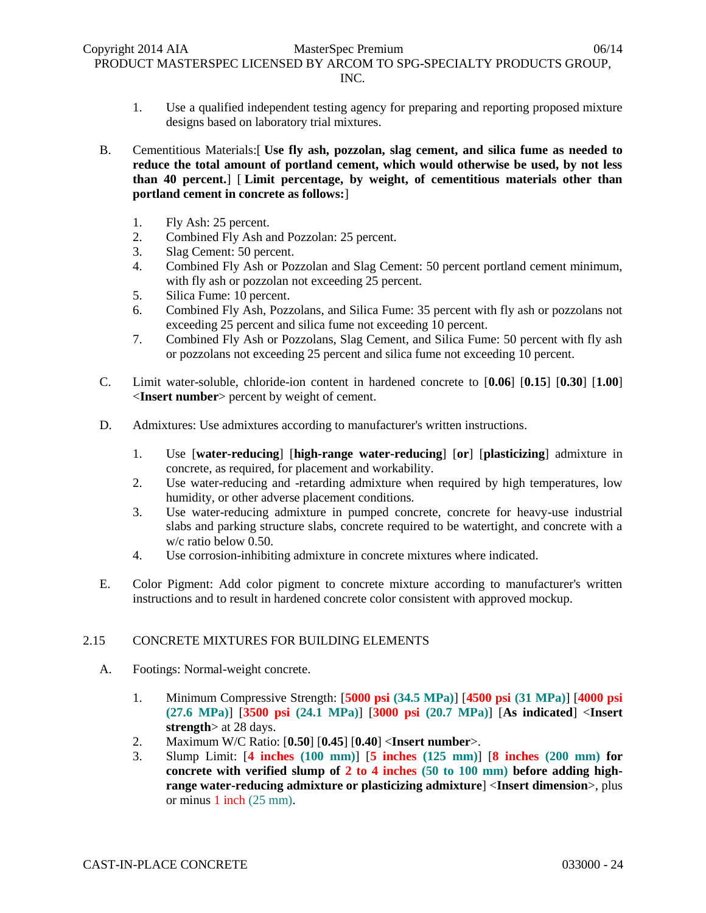1. Use a qualified independent testing agency for preparing and reporting proposed mixture designs based on laboratory trial mixtures.

B. Cementitious Materials:[ **Use fly ash, pozzolan, slag cement, and silica fume as needed to reduce the total amount of portland cement, which would otherwise be used, by not less than 40 percent.**] [ **Limit percentage, by weight, of cementitious materials other than portland cement in concrete as follows:**]

- 1. Fly Ash: 25 percent.
- 2. Combined Fly Ash and Pozzolan: 25 percent.
- 3. Slag Cement: 50 percent.
- 4. Combined Fly Ash or Pozzolan and Slag Cement: 50 percent portland cement minimum, with fly ash or pozzolan not exceeding 25 percent.
- 5. Silica Fume: 10 percent.
- 6. Combined Fly Ash, Pozzolans, and Silica Fume: 35 percent with fly ash or pozzolans not exceeding 25 percent and silica fume not exceeding 10 percent.
- 7. Combined Fly Ash or Pozzolans, Slag Cement, and Silica Fume: 50 percent with fly ash or pozzolans not exceeding 25 percent and silica fume not exceeding 10 percent.
- C. Limit water-soluble, chloride-ion content in hardened concrete to [**0.06**] [**0.15**] [**0.30**] [**1.00**] <**Insert number**> percent by weight of cement.
- D. Admixtures: Use admixtures according to manufacturer's written instructions.
	- 1. Use [**water-reducing**] [**high-range water-reducing**] [**or**] [**plasticizing**] admixture in concrete, as required, for placement and workability.
	- 2. Use water-reducing and -retarding admixture when required by high temperatures, low humidity, or other adverse placement conditions.
	- 3. Use water-reducing admixture in pumped concrete, concrete for heavy-use industrial slabs and parking structure slabs, concrete required to be watertight, and concrete with a w/c ratio below 0.50.
	- 4. Use corrosion-inhibiting admixture in concrete mixtures where indicated.
- E. Color Pigment: Add color pigment to concrete mixture according to manufacturer's written instructions and to result in hardened concrete color consistent with approved mockup.

# 2.15 CONCRETE MIXTURES FOR BUILDING ELEMENTS

- A. Footings: Normal-weight concrete.
	- 1. Minimum Compressive Strength: [**5000 psi (34.5 MPa)**] [**4500 psi (31 MPa)**] [**4000 psi (27.6 MPa)**] [**3500 psi (24.1 MPa)**] [**3000 psi (20.7 MPa)**] [**As indicated**] <**Insert strength**> at 28 days.
	- 2. Maximum W/C Ratio: [**0.50**] [**0.45**] [**0.40**] <**Insert number**>.
	- 3. Slump Limit: [**4 inches (100 mm)**] [**5 inches (125 mm)**] [**8 inches (200 mm) for concrete with verified slump of 2 to 4 inches (50 to 100 mm) before adding highrange water-reducing admixture or plasticizing admixture**] <**Insert dimension**>, plus or minus 1 inch (25 mm).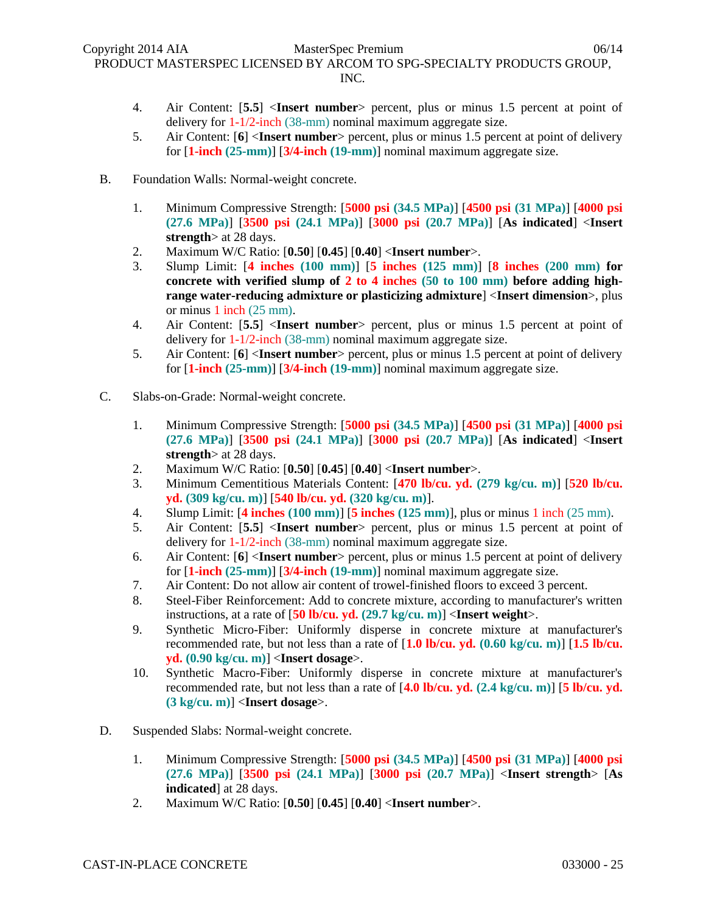- 4. Air Content: [**5.5**] <**Insert number**> percent, plus or minus 1.5 percent at point of delivery for 1-1/2-inch (38-mm) nominal maximum aggregate size.
- 5. Air Content: [**6**] <**Insert number**> percent, plus or minus 1.5 percent at point of delivery for [**1-inch (25-mm)**] [**3/4-inch (19-mm)**] nominal maximum aggregate size.
- B. Foundation Walls: Normal-weight concrete.
	- 1. Minimum Compressive Strength: [**5000 psi (34.5 MPa)**] [**4500 psi (31 MPa)**] [**4000 psi (27.6 MPa)**] [**3500 psi (24.1 MPa)**] [**3000 psi (20.7 MPa)**] [**As indicated**] <**Insert strength**> at 28 days.
	- 2. Maximum W/C Ratio: [**0.50**] [**0.45**] [**0.40**] <**Insert number**>.
	- 3. Slump Limit: [**4 inches (100 mm)**] [**5 inches (125 mm)**] [**8 inches (200 mm) for concrete with verified slump of 2 to 4 inches (50 to 100 mm) before adding highrange water-reducing admixture or plasticizing admixture**] <**Insert dimension**>, plus or minus 1 inch (25 mm).
	- 4. Air Content: [**5.5**] <**Insert number**> percent, plus or minus 1.5 percent at point of delivery for 1-1/2-inch (38-mm) nominal maximum aggregate size.
	- 5. Air Content: [**6**] <**Insert number**> percent, plus or minus 1.5 percent at point of delivery for [**1-inch (25-mm)**] [**3/4-inch (19-mm)**] nominal maximum aggregate size.
- C. Slabs-on-Grade: Normal-weight concrete.
	- 1. Minimum Compressive Strength: [**5000 psi (34.5 MPa)**] [**4500 psi (31 MPa)**] [**4000 psi (27.6 MPa)**] [**3500 psi (24.1 MPa)**] [**3000 psi (20.7 MPa)**] [**As indicated**] <**Insert strength**> at 28 days.
	- 2. Maximum W/C Ratio: [**0.50**] [**0.45**] [**0.40**] <**Insert number**>.
	- 3. Minimum Cementitious Materials Content: [**470 lb/cu. yd. (279 kg/cu. m)**] [**520 lb/cu. yd. (309 kg/cu. m)**] [**540 lb/cu. yd. (320 kg/cu. m)**].
	- 4. Slump Limit: [**4 inches (100 mm)**] [**5 inches (125 mm)**], plus or minus 1 inch (25 mm).
	- 5. Air Content: [**5.5**] <**Insert number**> percent, plus or minus 1.5 percent at point of delivery for 1-1/2-inch (38-mm) nominal maximum aggregate size.
	- 6. Air Content: [**6**] <**Insert number**> percent, plus or minus 1.5 percent at point of delivery for [**1-inch (25-mm)**] [**3/4-inch (19-mm)**] nominal maximum aggregate size.
	- 7. Air Content: Do not allow air content of trowel-finished floors to exceed 3 percent.
	- 8. Steel-Fiber Reinforcement: Add to concrete mixture, according to manufacturer's written instructions, at a rate of [**50 lb/cu. yd. (29.7 kg/cu. m)**] <**Insert weight**>.
	- 9. Synthetic Micro-Fiber: Uniformly disperse in concrete mixture at manufacturer's recommended rate, but not less than a rate of [**1.0 lb/cu. yd. (0.60 kg/cu. m)**] [**1.5 lb/cu. yd. (0.90 kg/cu. m)**] <**Insert dosage**>.
	- 10. Synthetic Macro-Fiber: Uniformly disperse in concrete mixture at manufacturer's recommended rate, but not less than a rate of [**4.0 lb/cu. yd. (2.4 kg/cu. m)**] [**5 lb/cu. yd. (3 kg/cu. m)**] <**Insert dosage**>.
- D. Suspended Slabs: Normal-weight concrete.
	- 1. Minimum Compressive Strength: [**5000 psi (34.5 MPa)**] [**4500 psi (31 MPa)**] [**4000 psi (27.6 MPa)**] [**3500 psi (24.1 MPa)**] [**3000 psi (20.7 MPa)**] <**Insert strength**> [**As indicated**] at 28 days.
	- 2. Maximum W/C Ratio: [**0.50**] [**0.45**] [**0.40**] <**Insert number**>.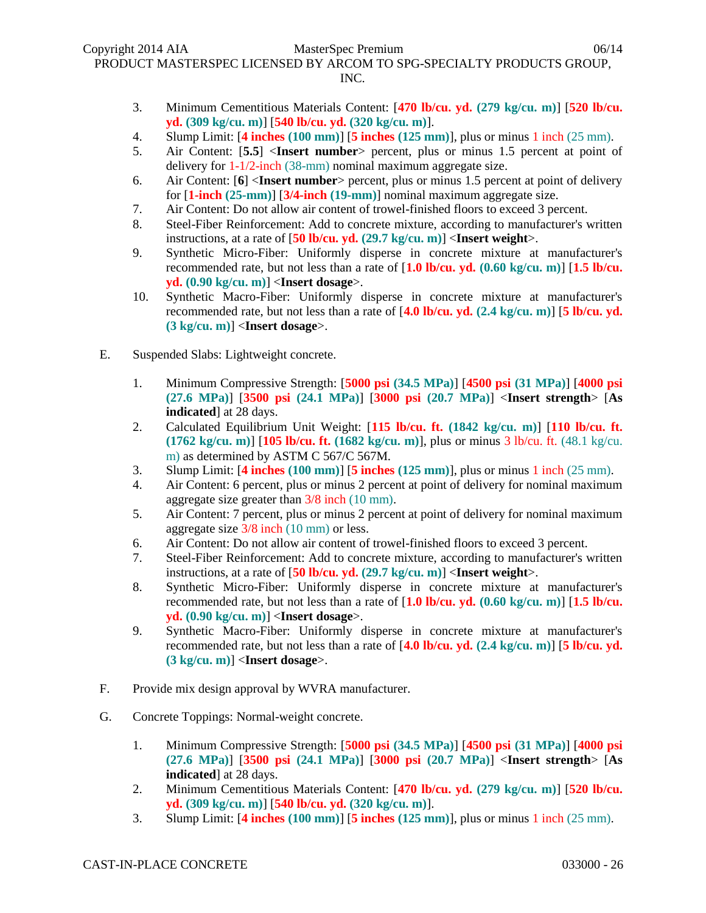- 3. Minimum Cementitious Materials Content: [**470 lb/cu. yd. (279 kg/cu. m)**] [**520 lb/cu. yd. (309 kg/cu. m)**] [**540 lb/cu. yd. (320 kg/cu. m)**].
- 4. Slump Limit: [**4 inches (100 mm)**] [**5 inches (125 mm)**], plus or minus 1 inch (25 mm).
- 5. Air Content: [**5.5**] <**Insert number**> percent, plus or minus 1.5 percent at point of delivery for 1-1/2-inch (38-mm) nominal maximum aggregate size.
- 6. Air Content: [**6**] <**Insert number**> percent, plus or minus 1.5 percent at point of delivery for [**1-inch (25-mm)**] [**3/4-inch (19-mm)**] nominal maximum aggregate size.
- 7. Air Content: Do not allow air content of trowel-finished floors to exceed 3 percent.
- 8. Steel-Fiber Reinforcement: Add to concrete mixture, according to manufacturer's written instructions, at a rate of [**50 lb/cu. yd. (29.7 kg/cu. m)**] <**Insert weight**>.
- 9. Synthetic Micro-Fiber: Uniformly disperse in concrete mixture at manufacturer's recommended rate, but not less than a rate of [**1.0 lb/cu. yd. (0.60 kg/cu. m)**] [**1.5 lb/cu. yd. (0.90 kg/cu. m)**] <**Insert dosage**>.
- 10. Synthetic Macro-Fiber: Uniformly disperse in concrete mixture at manufacturer's recommended rate, but not less than a rate of [**4.0 lb/cu. yd. (2.4 kg/cu. m)**] [**5 lb/cu. yd. (3 kg/cu. m)**] <**Insert dosage**>.
- E. Suspended Slabs: Lightweight concrete.
	- 1. Minimum Compressive Strength: [**5000 psi (34.5 MPa)**] [**4500 psi (31 MPa)**] [**4000 psi (27.6 MPa)**] [**3500 psi (24.1 MPa)**] [**3000 psi (20.7 MPa)**] <**Insert strength**> [**As indicated**] at 28 days.
	- 2. Calculated Equilibrium Unit Weight: [**115 lb/cu. ft. (1842 kg/cu. m)**] [**110 lb/cu. ft. (1762 kg/cu. m)**] [**105 lb/cu. ft. (1682 kg/cu. m)**], plus or minus 3 lb/cu. ft. (48.1 kg/cu. m) as determined by ASTM C 567/C 567M.
	- 3. Slump Limit: [**4 inches (100 mm)**] [**5 inches (125 mm)**], plus or minus 1 inch (25 mm).
	- 4. Air Content: 6 percent, plus or minus 2 percent at point of delivery for nominal maximum aggregate size greater than 3/8 inch (10 mm).
	- 5. Air Content: 7 percent, plus or minus 2 percent at point of delivery for nominal maximum aggregate size 3/8 inch (10 mm) or less.
	- 6. Air Content: Do not allow air content of trowel-finished floors to exceed 3 percent.
	- 7. Steel-Fiber Reinforcement: Add to concrete mixture, according to manufacturer's written instructions, at a rate of [**50 lb/cu. yd. (29.7 kg/cu. m)**] <**Insert weight**>.
	- 8. Synthetic Micro-Fiber: Uniformly disperse in concrete mixture at manufacturer's recommended rate, but not less than a rate of [**1.0 lb/cu. yd. (0.60 kg/cu. m)**] [**1.5 lb/cu. yd. (0.90 kg/cu. m)**] <**Insert dosage**>.
	- 9. Synthetic Macro-Fiber: Uniformly disperse in concrete mixture at manufacturer's recommended rate, but not less than a rate of [**4.0 lb/cu. yd. (2.4 kg/cu. m)**] [**5 lb/cu. yd. (3 kg/cu. m)**] <**Insert dosage**>.
- F. Provide mix design approval by WVRA manufacturer.
- G. Concrete Toppings: Normal-weight concrete.
	- 1. Minimum Compressive Strength: [**5000 psi (34.5 MPa)**] [**4500 psi (31 MPa)**] [**4000 psi (27.6 MPa)**] [**3500 psi (24.1 MPa)**] [**3000 psi (20.7 MPa)**] <**Insert strength**> [**As indicated**] at 28 days.
	- 2. Minimum Cementitious Materials Content: [**470 lb/cu. yd. (279 kg/cu. m)**] [**520 lb/cu. yd. (309 kg/cu. m)**] [**540 lb/cu. yd. (320 kg/cu. m)**].
	- 3. Slump Limit: [**4 inches (100 mm)**] [**5 inches (125 mm)**], plus or minus 1 inch (25 mm).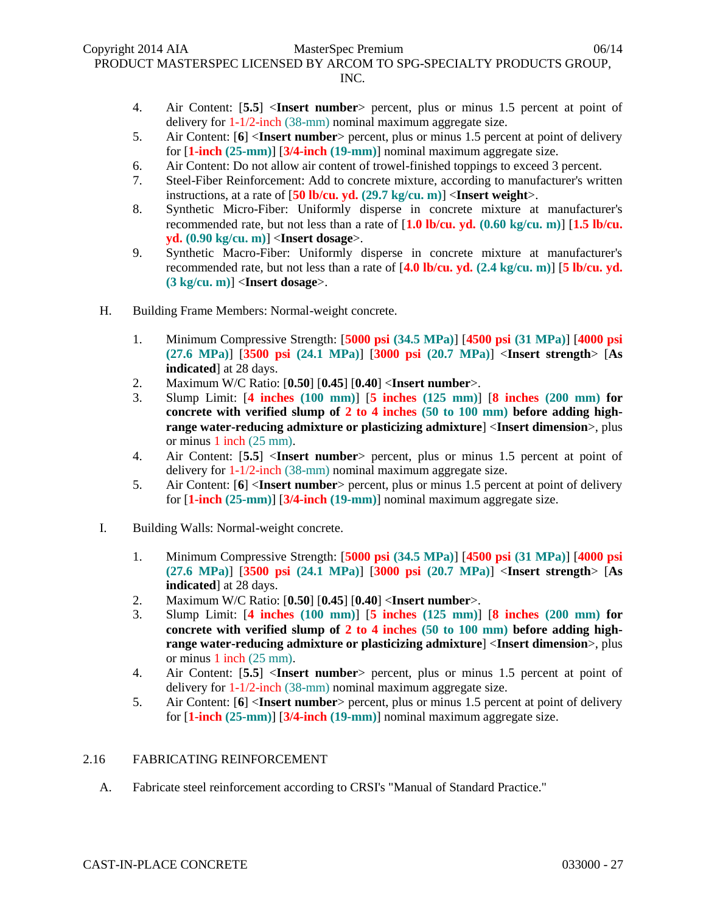- 4. Air Content: [**5.5**] <**Insert number**> percent, plus or minus 1.5 percent at point of delivery for 1-1/2-inch (38-mm) nominal maximum aggregate size.
- 5. Air Content: [**6**] <**Insert number**> percent, plus or minus 1.5 percent at point of delivery for [**1-inch (25-mm)**] [**3/4-inch (19-mm)**] nominal maximum aggregate size.
- 6. Air Content: Do not allow air content of trowel-finished toppings to exceed 3 percent.
- 7. Steel-Fiber Reinforcement: Add to concrete mixture, according to manufacturer's written instructions, at a rate of [**50 lb/cu. yd. (29.7 kg/cu. m)**] <**Insert weight**>.
- 8. Synthetic Micro-Fiber: Uniformly disperse in concrete mixture at manufacturer's recommended rate, but not less than a rate of [**1.0 lb/cu. yd. (0.60 kg/cu. m)**] [**1.5 lb/cu. yd. (0.90 kg/cu. m)**] <**Insert dosage**>.
- 9. Synthetic Macro-Fiber: Uniformly disperse in concrete mixture at manufacturer's recommended rate, but not less than a rate of [**4.0 lb/cu. yd. (2.4 kg/cu. m)**] [**5 lb/cu. yd. (3 kg/cu. m)**] <**Insert dosage**>.
- H. Building Frame Members: Normal-weight concrete.
	- 1. Minimum Compressive Strength: [**5000 psi (34.5 MPa)**] [**4500 psi (31 MPa)**] [**4000 psi (27.6 MPa)**] [**3500 psi (24.1 MPa)**] [**3000 psi (20.7 MPa)**] <**Insert strength**> [**As indicated**] at 28 days.
	- 2. Maximum W/C Ratio: [**0.50**] [**0.45**] [**0.40**] <**Insert number**>.
	- 3. Slump Limit: [**4 inches (100 mm)**] [**5 inches (125 mm)**] [**8 inches (200 mm) for concrete with verified slump of 2 to 4 inches (50 to 100 mm) before adding highrange water-reducing admixture or plasticizing admixture**] <**Insert dimension**>, plus or minus 1 inch (25 mm).
	- 4. Air Content: [**5.5**] <**Insert number**> percent, plus or minus 1.5 percent at point of delivery for 1-1/2-inch (38-mm) nominal maximum aggregate size.
	- 5. Air Content: [**6**] <**Insert number**> percent, plus or minus 1.5 percent at point of delivery for [**1-inch (25-mm)**] [**3/4-inch (19-mm)**] nominal maximum aggregate size.
- I. Building Walls: Normal-weight concrete.
	- 1. Minimum Compressive Strength: [**5000 psi (34.5 MPa)**] [**4500 psi (31 MPa)**] [**4000 psi (27.6 MPa)**] [**3500 psi (24.1 MPa)**] [**3000 psi (20.7 MPa)**] <**Insert strength**> [**As indicated**] at 28 days.
	- 2. Maximum W/C Ratio: [**0.50**] [**0.45**] [**0.40**] <**Insert number**>.
	- 3. Slump Limit: [**4 inches (100 mm)**] [**5 inches (125 mm)**] [**8 inches (200 mm) for concrete with verified slump of 2 to 4 inches (50 to 100 mm) before adding highrange water-reducing admixture or plasticizing admixture**] <**Insert dimension**>, plus or minus 1 inch (25 mm).
	- 4. Air Content: [**5.5**] <**Insert number**> percent, plus or minus 1.5 percent at point of delivery for 1-1/2-inch (38-mm) nominal maximum aggregate size.
	- 5. Air Content: [**6**] <**Insert number**> percent, plus or minus 1.5 percent at point of delivery for [**1-inch (25-mm)**] [**3/4-inch (19-mm)**] nominal maximum aggregate size.

# 2.16 FABRICATING REINFORCEMENT

A. Fabricate steel reinforcement according to CRSI's "Manual of Standard Practice."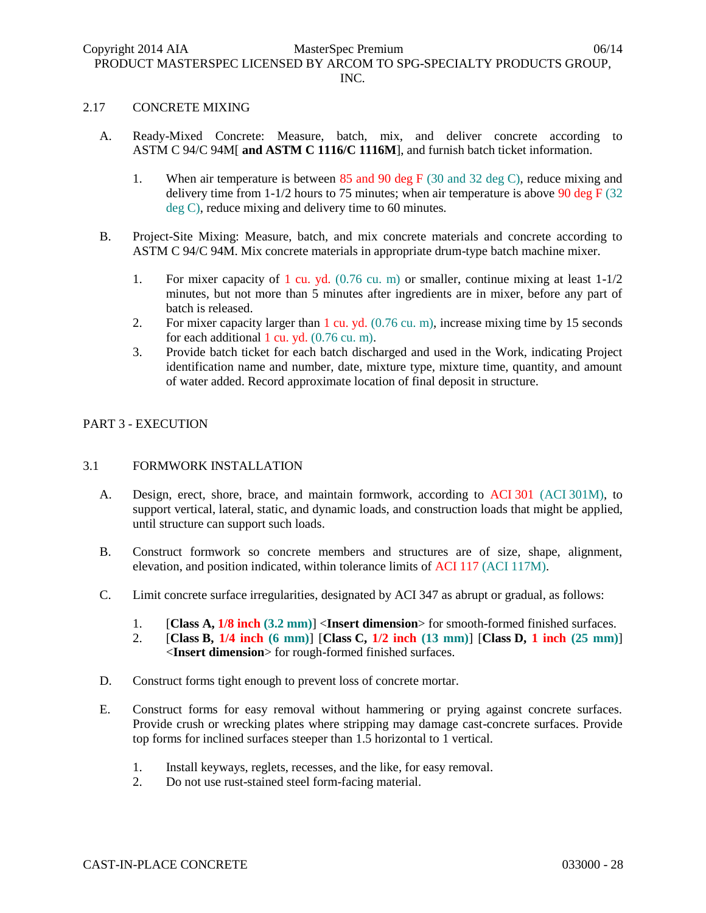#### 2.17 CONCRETE MIXING

- A. Ready-Mixed Concrete: Measure, batch, mix, and deliver concrete according to ASTM C 94/C 94M[ **and ASTM C 1116/C 1116M**], and furnish batch ticket information.
	- 1. When air temperature is between 85 and 90 deg F (30 and 32 deg C), reduce mixing and delivery time from  $1-1/2$  hours to 75 minutes; when air temperature is above 90 deg F (32) deg C), reduce mixing and delivery time to 60 minutes.
- B. Project-Site Mixing: Measure, batch, and mix concrete materials and concrete according to ASTM C 94/C 94M. Mix concrete materials in appropriate drum-type batch machine mixer.
	- 1. For mixer capacity of 1 cu. yd. (0.76 cu. m) or smaller, continue mixing at least 1-1/2 minutes, but not more than 5 minutes after ingredients are in mixer, before any part of batch is released.
	- 2. For mixer capacity larger than 1 cu. yd. (0.76 cu. m), increase mixing time by 15 seconds for each additional 1 cu. yd.  $(0.76 \text{ cu. m})$ .
	- 3. Provide batch ticket for each batch discharged and used in the Work, indicating Project identification name and number, date, mixture type, mixture time, quantity, and amount of water added. Record approximate location of final deposit in structure.

### PART 3 - EXECUTION

# 3.1 FORMWORK INSTALLATION

- A. Design, erect, shore, brace, and maintain formwork, according to ACI 301 (ACI 301M), to support vertical, lateral, static, and dynamic loads, and construction loads that might be applied, until structure can support such loads.
- B. Construct formwork so concrete members and structures are of size, shape, alignment, elevation, and position indicated, within tolerance limits of ACI 117 (ACI 117M).
- C. Limit concrete surface irregularities, designated by ACI 347 as abrupt or gradual, as follows:
	- 1. [**Class A, 1/8 inch (3.2 mm)**] <**Insert dimension**> for smooth-formed finished surfaces.
	- 2. [**Class B, 1/4 inch (6 mm)**] [**Class C, 1/2 inch (13 mm)**] [**Class D, 1 inch (25 mm)**] <**Insert dimension**> for rough-formed finished surfaces.
- D. Construct forms tight enough to prevent loss of concrete mortar.
- E. Construct forms for easy removal without hammering or prying against concrete surfaces. Provide crush or wrecking plates where stripping may damage cast-concrete surfaces. Provide top forms for inclined surfaces steeper than 1.5 horizontal to 1 vertical.
	- 1. Install keyways, reglets, recesses, and the like, for easy removal.
	- 2. Do not use rust-stained steel form-facing material.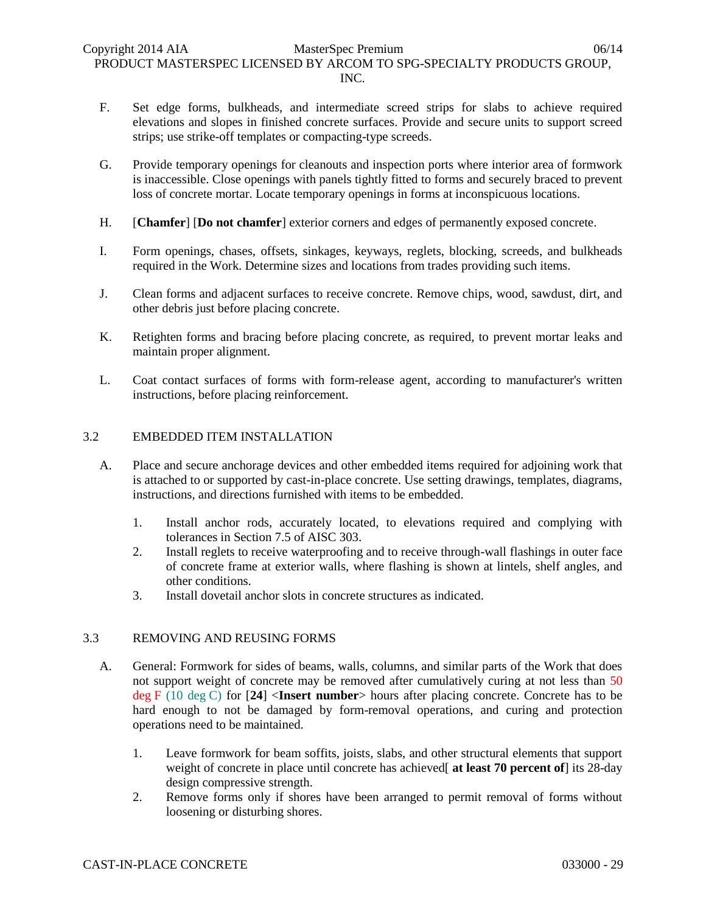- F. Set edge forms, bulkheads, and intermediate screed strips for slabs to achieve required elevations and slopes in finished concrete surfaces. Provide and secure units to support screed strips; use strike-off templates or compacting-type screeds.
- G. Provide temporary openings for cleanouts and inspection ports where interior area of formwork is inaccessible. Close openings with panels tightly fitted to forms and securely braced to prevent loss of concrete mortar. Locate temporary openings in forms at inconspicuous locations.
- H. [**Chamfer**] [**Do not chamfer**] exterior corners and edges of permanently exposed concrete.
- I. Form openings, chases, offsets, sinkages, keyways, reglets, blocking, screeds, and bulkheads required in the Work. Determine sizes and locations from trades providing such items.
- J. Clean forms and adjacent surfaces to receive concrete. Remove chips, wood, sawdust, dirt, and other debris just before placing concrete.
- K. Retighten forms and bracing before placing concrete, as required, to prevent mortar leaks and maintain proper alignment.
- L. Coat contact surfaces of forms with form-release agent, according to manufacturer's written instructions, before placing reinforcement.

# 3.2 EMBEDDED ITEM INSTALLATION

- A. Place and secure anchorage devices and other embedded items required for adjoining work that is attached to or supported by cast-in-place concrete. Use setting drawings, templates, diagrams, instructions, and directions furnished with items to be embedded.
	- 1. Install anchor rods, accurately located, to elevations required and complying with tolerances in Section 7.5 of AISC 303.
	- 2. Install reglets to receive waterproofing and to receive through-wall flashings in outer face of concrete frame at exterior walls, where flashing is shown at lintels, shelf angles, and other conditions.
	- 3. Install dovetail anchor slots in concrete structures as indicated.

# 3.3 REMOVING AND REUSING FORMS

- A. General: Formwork for sides of beams, walls, columns, and similar parts of the Work that does not support weight of concrete may be removed after cumulatively curing at not less than 50 deg F (10 deg C) for [**24**] <**Insert number**> hours after placing concrete. Concrete has to be hard enough to not be damaged by form-removal operations, and curing and protection operations need to be maintained.
	- 1. Leave formwork for beam soffits, joists, slabs, and other structural elements that support weight of concrete in place until concrete has achieved<sup>[</sup> at least 70 percent of] its 28-day design compressive strength.
	- 2. Remove forms only if shores have been arranged to permit removal of forms without loosening or disturbing shores.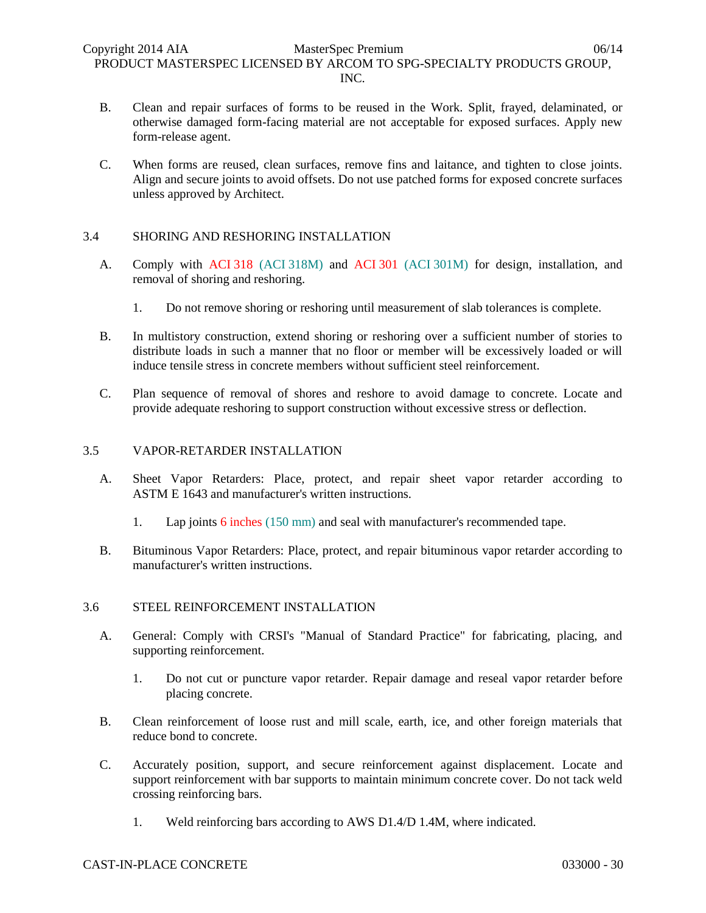- B. Clean and repair surfaces of forms to be reused in the Work. Split, frayed, delaminated, or otherwise damaged form-facing material are not acceptable for exposed surfaces. Apply new form-release agent.
- C. When forms are reused, clean surfaces, remove fins and laitance, and tighten to close joints. Align and secure joints to avoid offsets. Do not use patched forms for exposed concrete surfaces unless approved by Architect.

# 3.4 SHORING AND RESHORING INSTALLATION

- A. Comply with ACI 318 (ACI 318M) and ACI 301 (ACI 301M) for design, installation, and removal of shoring and reshoring.
	- 1. Do not remove shoring or reshoring until measurement of slab tolerances is complete.
- B. In multistory construction, extend shoring or reshoring over a sufficient number of stories to distribute loads in such a manner that no floor or member will be excessively loaded or will induce tensile stress in concrete members without sufficient steel reinforcement.
- C. Plan sequence of removal of shores and reshore to avoid damage to concrete. Locate and provide adequate reshoring to support construction without excessive stress or deflection.

# 3.5 VAPOR-RETARDER INSTALLATION

- A. Sheet Vapor Retarders: Place, protect, and repair sheet vapor retarder according to ASTM E 1643 and manufacturer's written instructions.
	- 1. Lap joints 6 inches (150 mm) and seal with manufacturer's recommended tape.
- B. Bituminous Vapor Retarders: Place, protect, and repair bituminous vapor retarder according to manufacturer's written instructions.

# 3.6 STEEL REINFORCEMENT INSTALLATION

- A. General: Comply with CRSI's "Manual of Standard Practice" for fabricating, placing, and supporting reinforcement.
	- 1. Do not cut or puncture vapor retarder. Repair damage and reseal vapor retarder before placing concrete.
- B. Clean reinforcement of loose rust and mill scale, earth, ice, and other foreign materials that reduce bond to concrete.
- C. Accurately position, support, and secure reinforcement against displacement. Locate and support reinforcement with bar supports to maintain minimum concrete cover. Do not tack weld crossing reinforcing bars.
	- 1. Weld reinforcing bars according to AWS D1.4/D 1.4M, where indicated.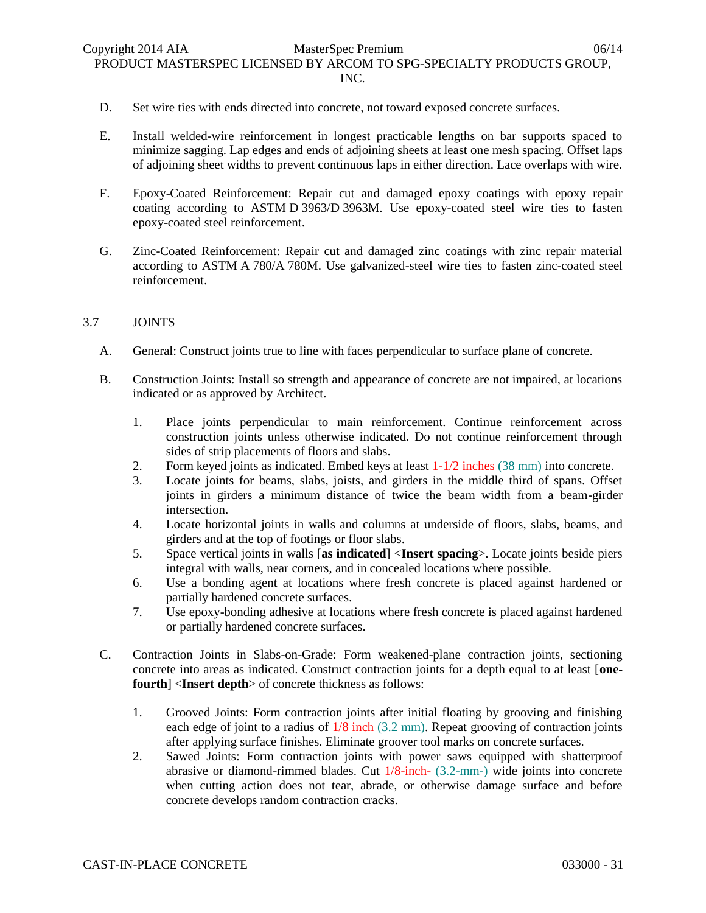- D. Set wire ties with ends directed into concrete, not toward exposed concrete surfaces.
- E. Install welded-wire reinforcement in longest practicable lengths on bar supports spaced to minimize sagging. Lap edges and ends of adjoining sheets at least one mesh spacing. Offset laps of adjoining sheet widths to prevent continuous laps in either direction. Lace overlaps with wire.
- F. Epoxy-Coated Reinforcement: Repair cut and damaged epoxy coatings with epoxy repair coating according to ASTM D 3963/D 3963M. Use epoxy-coated steel wire ties to fasten epoxy-coated steel reinforcement.
- G. Zinc-Coated Reinforcement: Repair cut and damaged zinc coatings with zinc repair material according to ASTM A 780/A 780M. Use galvanized-steel wire ties to fasten zinc-coated steel reinforcement.

### 3.7 JOINTS

- A. General: Construct joints true to line with faces perpendicular to surface plane of concrete.
- B. Construction Joints: Install so strength and appearance of concrete are not impaired, at locations indicated or as approved by Architect.
	- 1. Place joints perpendicular to main reinforcement. Continue reinforcement across construction joints unless otherwise indicated. Do not continue reinforcement through sides of strip placements of floors and slabs.
	- 2. Form keyed joints as indicated. Embed keys at least 1-1/2 inches (38 mm) into concrete.
	- 3. Locate joints for beams, slabs, joists, and girders in the middle third of spans. Offset joints in girders a minimum distance of twice the beam width from a beam-girder intersection.
	- 4. Locate horizontal joints in walls and columns at underside of floors, slabs, beams, and girders and at the top of footings or floor slabs.
	- 5. Space vertical joints in walls [**as indicated**] <**Insert spacing**>. Locate joints beside piers integral with walls, near corners, and in concealed locations where possible.
	- 6. Use a bonding agent at locations where fresh concrete is placed against hardened or partially hardened concrete surfaces.
	- 7. Use epoxy-bonding adhesive at locations where fresh concrete is placed against hardened or partially hardened concrete surfaces.
- C. Contraction Joints in Slabs-on-Grade: Form weakened-plane contraction joints, sectioning concrete into areas as indicated. Construct contraction joints for a depth equal to at least [**onefourth**] <**Insert depth**> of concrete thickness as follows:
	- 1. Grooved Joints: Form contraction joints after initial floating by grooving and finishing each edge of joint to a radius of 1/8 inch (3.2 mm). Repeat grooving of contraction joints after applying surface finishes. Eliminate groover tool marks on concrete surfaces.
	- 2. Sawed Joints: Form contraction joints with power saws equipped with shatterproof abrasive or diamond-rimmed blades. Cut 1/8-inch- (3.2-mm-) wide joints into concrete when cutting action does not tear, abrade, or otherwise damage surface and before concrete develops random contraction cracks.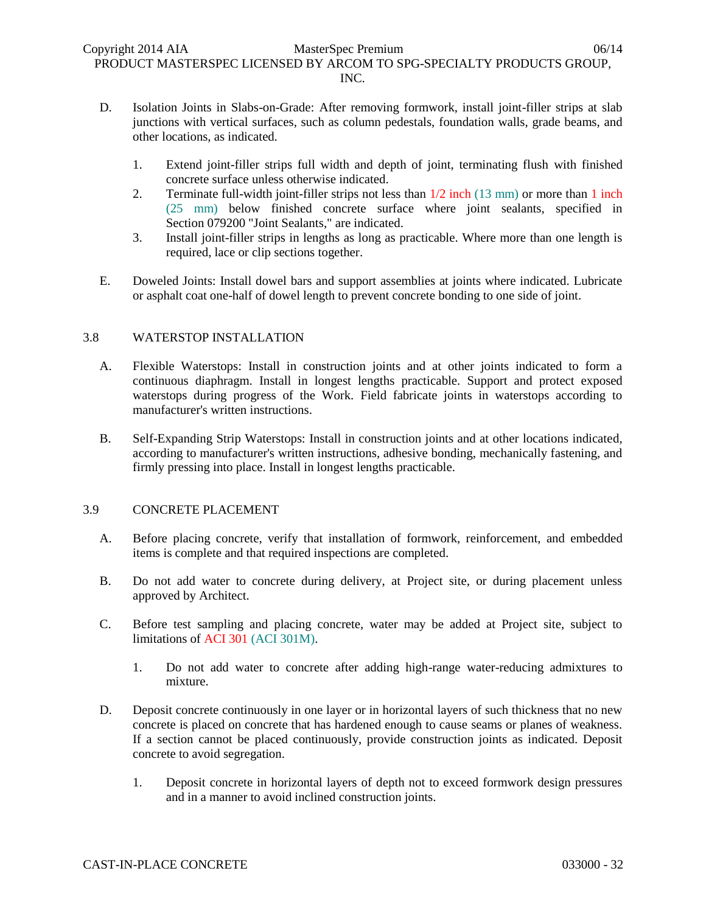- D. Isolation Joints in Slabs-on-Grade: After removing formwork, install joint-filler strips at slab junctions with vertical surfaces, such as column pedestals, foundation walls, grade beams, and other locations, as indicated.
	- 1. Extend joint-filler strips full width and depth of joint, terminating flush with finished concrete surface unless otherwise indicated.
	- 2. Terminate full-width joint-filler strips not less than  $1/2$  inch (13 mm) or more than 1 inch (25 mm) below finished concrete surface where joint sealants, specified in Section 079200 "Joint Sealants," are indicated.
	- 3. Install joint-filler strips in lengths as long as practicable. Where more than one length is required, lace or clip sections together.
- E. Doweled Joints: Install dowel bars and support assemblies at joints where indicated. Lubricate or asphalt coat one-half of dowel length to prevent concrete bonding to one side of joint.

# 3.8 WATERSTOP INSTALLATION

- A. Flexible Waterstops: Install in construction joints and at other joints indicated to form a continuous diaphragm. Install in longest lengths practicable. Support and protect exposed waterstops during progress of the Work. Field fabricate joints in waterstops according to manufacturer's written instructions.
- B. Self-Expanding Strip Waterstops: Install in construction joints and at other locations indicated, according to manufacturer's written instructions, adhesive bonding, mechanically fastening, and firmly pressing into place. Install in longest lengths practicable.

# 3.9 CONCRETE PLACEMENT

- A. Before placing concrete, verify that installation of formwork, reinforcement, and embedded items is complete and that required inspections are completed.
- B. Do not add water to concrete during delivery, at Project site, or during placement unless approved by Architect.
- C. Before test sampling and placing concrete, water may be added at Project site, subject to limitations of ACI 301 (ACI 301M).
	- 1. Do not add water to concrete after adding high-range water-reducing admixtures to mixture.
- D. Deposit concrete continuously in one layer or in horizontal layers of such thickness that no new concrete is placed on concrete that has hardened enough to cause seams or planes of weakness. If a section cannot be placed continuously, provide construction joints as indicated. Deposit concrete to avoid segregation.
	- 1. Deposit concrete in horizontal layers of depth not to exceed formwork design pressures and in a manner to avoid inclined construction joints.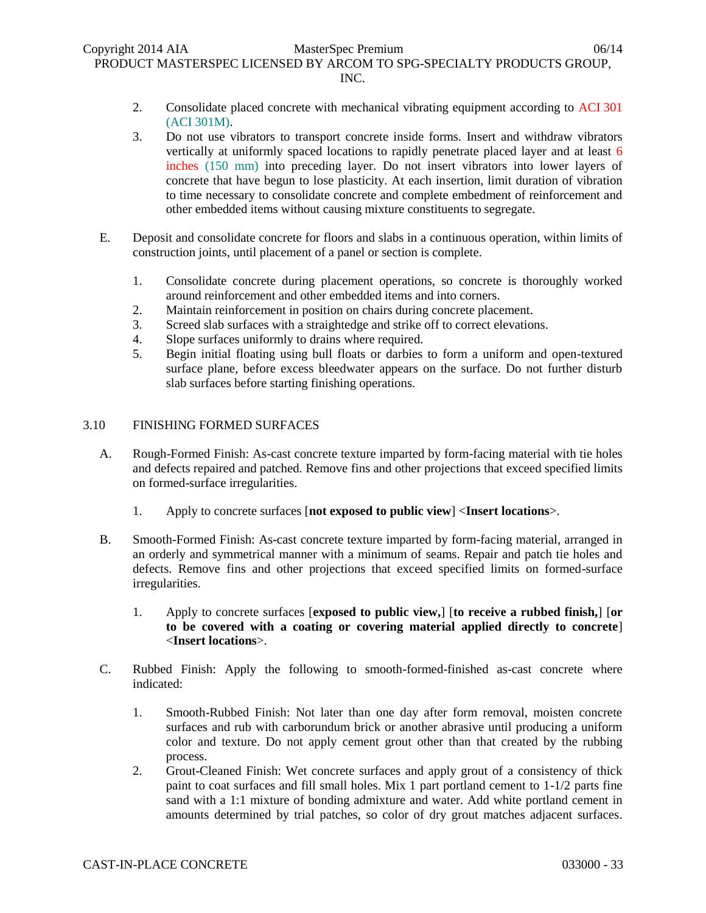- 2. Consolidate placed concrete with mechanical vibrating equipment according to ACI 301 (ACI 301M).
- 3. Do not use vibrators to transport concrete inside forms. Insert and withdraw vibrators vertically at uniformly spaced locations to rapidly penetrate placed layer and at least 6 inches (150 mm) into preceding layer. Do not insert vibrators into lower layers of concrete that have begun to lose plasticity. At each insertion, limit duration of vibration to time necessary to consolidate concrete and complete embedment of reinforcement and other embedded items without causing mixture constituents to segregate.
- E. Deposit and consolidate concrete for floors and slabs in a continuous operation, within limits of construction joints, until placement of a panel or section is complete.
	- 1. Consolidate concrete during placement operations, so concrete is thoroughly worked around reinforcement and other embedded items and into corners.
	- 2. Maintain reinforcement in position on chairs during concrete placement.
	- 3. Screed slab surfaces with a straightedge and strike off to correct elevations.
	- 4. Slope surfaces uniformly to drains where required.
	- 5. Begin initial floating using bull floats or darbies to form a uniform and open-textured surface plane, before excess bleedwater appears on the surface. Do not further disturb slab surfaces before starting finishing operations.

# 3.10 FINISHING FORMED SURFACES

- A. Rough-Formed Finish: As-cast concrete texture imparted by form-facing material with tie holes and defects repaired and patched. Remove fins and other projections that exceed specified limits on formed-surface irregularities.
	- 1. Apply to concrete surfaces [**not exposed to public view**] <**Insert locations**>.
- B. Smooth-Formed Finish: As-cast concrete texture imparted by form-facing material, arranged in an orderly and symmetrical manner with a minimum of seams. Repair and patch tie holes and defects. Remove fins and other projections that exceed specified limits on formed-surface irregularities.
	- 1. Apply to concrete surfaces [**exposed to public view,**] [**to receive a rubbed finish,**] [**or to be covered with a coating or covering material applied directly to concrete**] <**Insert locations**>.
- C. Rubbed Finish: Apply the following to smooth-formed-finished as-cast concrete where indicated:
	- 1. Smooth-Rubbed Finish: Not later than one day after form removal, moisten concrete surfaces and rub with carborundum brick or another abrasive until producing a uniform color and texture. Do not apply cement grout other than that created by the rubbing process.
	- 2. Grout-Cleaned Finish: Wet concrete surfaces and apply grout of a consistency of thick paint to coat surfaces and fill small holes. Mix 1 part portland cement to 1-1/2 parts fine sand with a 1:1 mixture of bonding admixture and water. Add white portland cement in amounts determined by trial patches, so color of dry grout matches adjacent surfaces.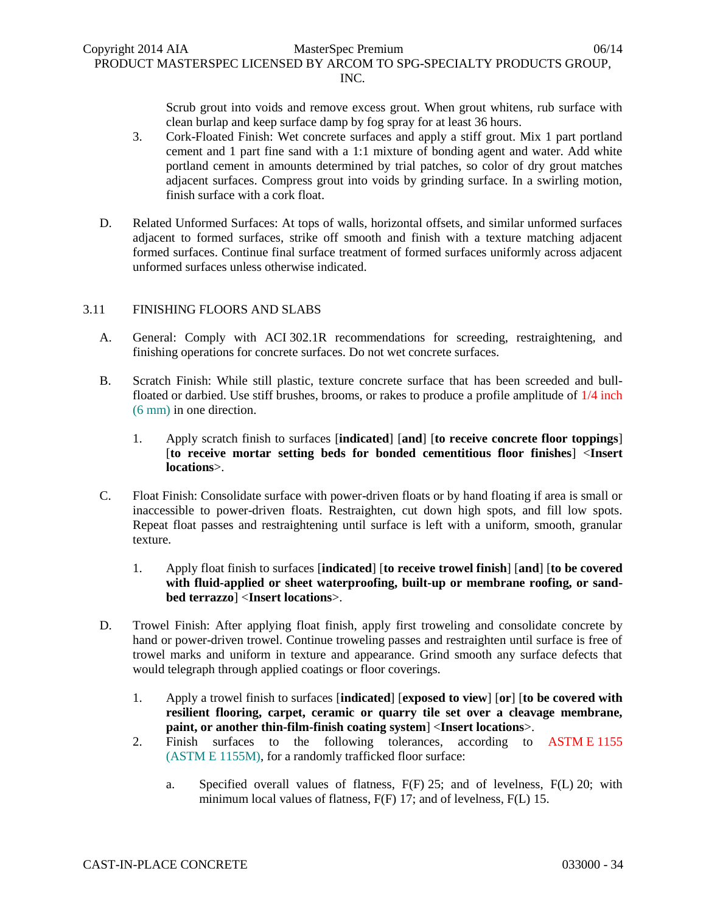Scrub grout into voids and remove excess grout. When grout whitens, rub surface with clean burlap and keep surface damp by fog spray for at least 36 hours.

- 3. Cork-Floated Finish: Wet concrete surfaces and apply a stiff grout. Mix 1 part portland cement and 1 part fine sand with a 1:1 mixture of bonding agent and water. Add white portland cement in amounts determined by trial patches, so color of dry grout matches adjacent surfaces. Compress grout into voids by grinding surface. In a swirling motion, finish surface with a cork float.
- D. Related Unformed Surfaces: At tops of walls, horizontal offsets, and similar unformed surfaces adjacent to formed surfaces, strike off smooth and finish with a texture matching adjacent formed surfaces. Continue final surface treatment of formed surfaces uniformly across adjacent unformed surfaces unless otherwise indicated.

# 3.11 FINISHING FLOORS AND SLABS

- A. General: Comply with ACI 302.1R recommendations for screeding, restraightening, and finishing operations for concrete surfaces. Do not wet concrete surfaces.
- B. Scratch Finish: While still plastic, texture concrete surface that has been screeded and bullfloated or darbied. Use stiff brushes, brooms, or rakes to produce a profile amplitude of 1/4 inch (6 mm) in one direction.
	- 1. Apply scratch finish to surfaces [**indicated**] [**and**] [**to receive concrete floor toppings**] [**to receive mortar setting beds for bonded cementitious floor finishes**] <**Insert locations**>.
- C. Float Finish: Consolidate surface with power-driven floats or by hand floating if area is small or inaccessible to power-driven floats. Restraighten, cut down high spots, and fill low spots. Repeat float passes and restraightening until surface is left with a uniform, smooth, granular texture.
	- 1. Apply float finish to surfaces [**indicated**] [**to receive trowel finish**] [**and**] [**to be covered with fluid-applied or sheet waterproofing, built-up or membrane roofing, or sandbed terrazzo**] <**Insert locations**>.
- D. Trowel Finish: After applying float finish, apply first troweling and consolidate concrete by hand or power-driven trowel. Continue troweling passes and restraighten until surface is free of trowel marks and uniform in texture and appearance. Grind smooth any surface defects that would telegraph through applied coatings or floor coverings.
	- 1. Apply a trowel finish to surfaces [**indicated**] [**exposed to view**] [**or**] [**to be covered with resilient flooring, carpet, ceramic or quarry tile set over a cleavage membrane, paint, or another thin-film-finish coating system**] <**Insert locations**>.
	- 2. Finish surfaces to the following tolerances, according to ASTM E 1155 (ASTM E 1155M), for a randomly trafficked floor surface:
		- a. Specified overall values of flatness, F(F) 25; and of levelness, F(L) 20; with minimum local values of flatness,  $F(F)$  17; and of levelness,  $F(L)$  15.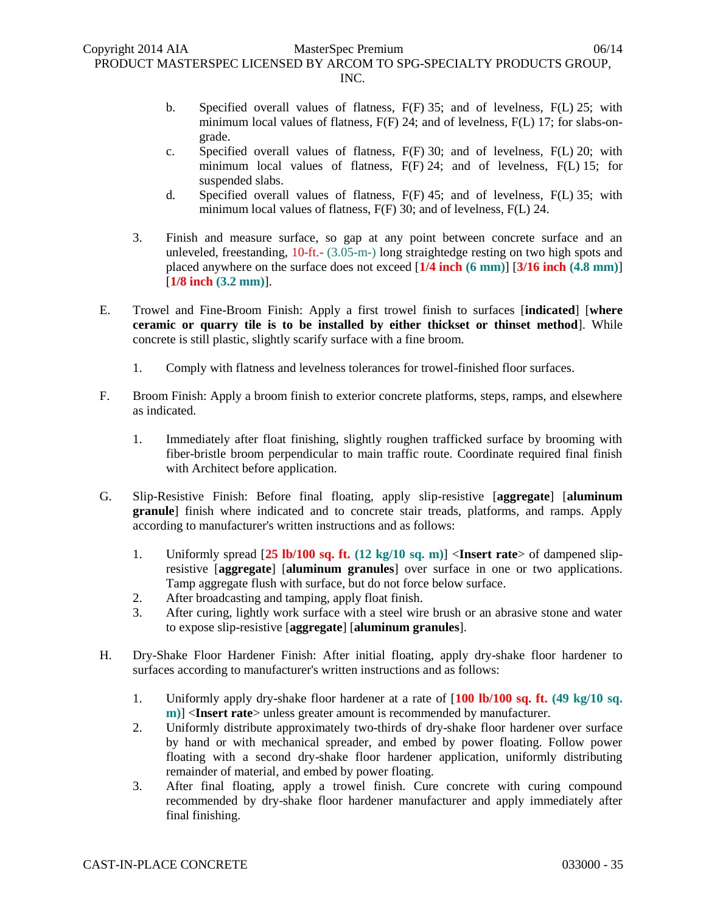- b. Specified overall values of flatness, F(F) 35; and of levelness, F(L) 25; with minimum local values of flatness, F(F) 24; and of levelness, F(L) 17; for slabs-ongrade.
- c. Specified overall values of flatness, F(F) 30; and of levelness, F(L) 20; with minimum local values of flatness, F(F) 24; and of levelness, F(L) 15; for suspended slabs.
- d. Specified overall values of flatness, F(F) 45; and of levelness, F(L) 35; with minimum local values of flatness,  $F(F)$  30; and of levelness,  $F(L)$  24.
- 3. Finish and measure surface, so gap at any point between concrete surface and an unleveled, freestanding, 10-ft.- (3.05-m-) long straightedge resting on two high spots and placed anywhere on the surface does not exceed [**1/4 inch (6 mm)**] [**3/16 inch (4.8 mm)**] [**1/8 inch (3.2 mm)**].
- E. Trowel and Fine-Broom Finish: Apply a first trowel finish to surfaces [**indicated**] [**where ceramic or quarry tile is to be installed by either thickset or thinset method**]. While concrete is still plastic, slightly scarify surface with a fine broom.
	- 1. Comply with flatness and levelness tolerances for trowel-finished floor surfaces.
- F. Broom Finish: Apply a broom finish to exterior concrete platforms, steps, ramps, and elsewhere as indicated.
	- 1. Immediately after float finishing, slightly roughen trafficked surface by brooming with fiber-bristle broom perpendicular to main traffic route. Coordinate required final finish with Architect before application.
- G. Slip-Resistive Finish: Before final floating, apply slip-resistive [**aggregate**] [**aluminum granule**] finish where indicated and to concrete stair treads, platforms, and ramps. Apply according to manufacturer's written instructions and as follows:
	- 1. Uniformly spread [**25 lb/100 sq. ft. (12 kg/10 sq. m)**] <**Insert rate**> of dampened slipresistive [**aggregate**] [**aluminum granules**] over surface in one or two applications. Tamp aggregate flush with surface, but do not force below surface.
	- 2. After broadcasting and tamping, apply float finish.
	- 3. After curing, lightly work surface with a steel wire brush or an abrasive stone and water to expose slip-resistive [**aggregate**] [**aluminum granules**].
- H. Dry-Shake Floor Hardener Finish: After initial floating, apply dry-shake floor hardener to surfaces according to manufacturer's written instructions and as follows:
	- 1. Uniformly apply dry-shake floor hardener at a rate of [**100 lb/100 sq. ft. (49 kg/10 sq. m**)] <**Insert rate**> unless greater amount is recommended by manufacturer.
	- 2. Uniformly distribute approximately two-thirds of dry-shake floor hardener over surface by hand or with mechanical spreader, and embed by power floating. Follow power floating with a second dry-shake floor hardener application, uniformly distributing remainder of material, and embed by power floating.
	- 3. After final floating, apply a trowel finish. Cure concrete with curing compound recommended by dry-shake floor hardener manufacturer and apply immediately after final finishing.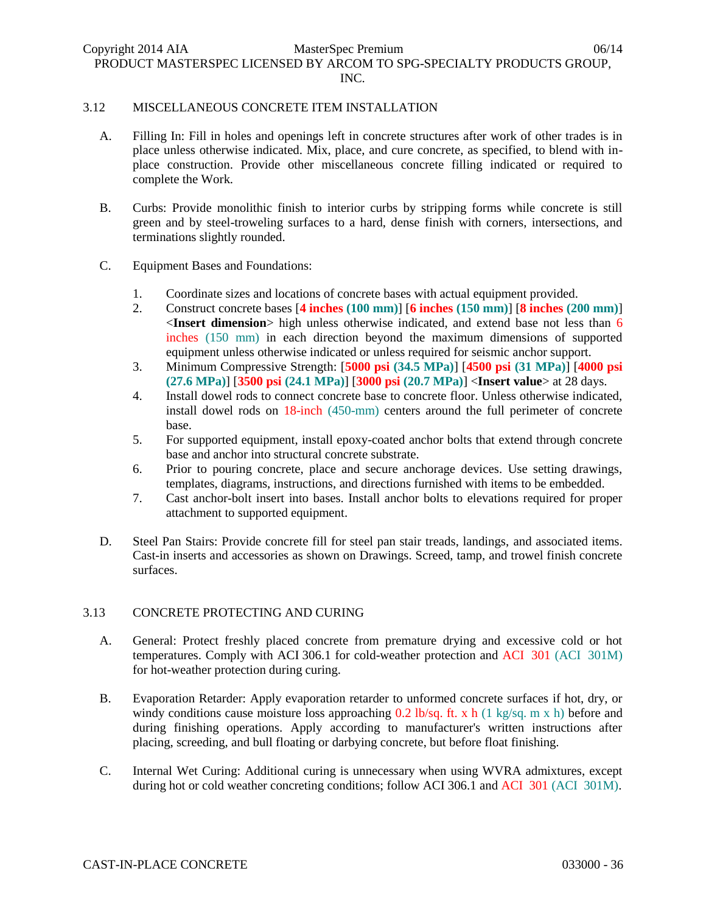### 3.12 MISCELLANEOUS CONCRETE ITEM INSTALLATION

- A. Filling In: Fill in holes and openings left in concrete structures after work of other trades is in place unless otherwise indicated. Mix, place, and cure concrete, as specified, to blend with inplace construction. Provide other miscellaneous concrete filling indicated or required to complete the Work.
- B. Curbs: Provide monolithic finish to interior curbs by stripping forms while concrete is still green and by steel-troweling surfaces to a hard, dense finish with corners, intersections, and terminations slightly rounded.
- C. Equipment Bases and Foundations:
	- 1. Coordinate sizes and locations of concrete bases with actual equipment provided.
	- 2. Construct concrete bases [**4 inches (100 mm)**] [**6 inches (150 mm)**] [**8 inches (200 mm)**] <**Insert dimension**> high unless otherwise indicated, and extend base not less than 6 inches (150 mm) in each direction beyond the maximum dimensions of supported equipment unless otherwise indicated or unless required for seismic anchor support.
	- 3. Minimum Compressive Strength: [**5000 psi (34.5 MPa)**] [**4500 psi (31 MPa)**] [**4000 psi (27.6 MPa)**] [**3500 psi (24.1 MPa)**] [**3000 psi (20.7 MPa)**] <**Insert value**> at 28 days.
	- 4. Install dowel rods to connect concrete base to concrete floor. Unless otherwise indicated, install dowel rods on 18-inch (450-mm) centers around the full perimeter of concrete base.
	- 5. For supported equipment, install epoxy-coated anchor bolts that extend through concrete base and anchor into structural concrete substrate.
	- 6. Prior to pouring concrete, place and secure anchorage devices. Use setting drawings, templates, diagrams, instructions, and directions furnished with items to be embedded.
	- 7. Cast anchor-bolt insert into bases. Install anchor bolts to elevations required for proper attachment to supported equipment.
- D. Steel Pan Stairs: Provide concrete fill for steel pan stair treads, landings, and associated items. Cast-in inserts and accessories as shown on Drawings. Screed, tamp, and trowel finish concrete surfaces.

# 3.13 CONCRETE PROTECTING AND CURING

- A. General: Protect freshly placed concrete from premature drying and excessive cold or hot temperatures. Comply with ACI 306.1 for cold-weather protection and ACI 301 (ACI 301M) for hot-weather protection during curing.
- B. Evaporation Retarder: Apply evaporation retarder to unformed concrete surfaces if hot, dry, or windy conditions cause moisture loss approaching 0.2 lb/sq. ft. x h (1 kg/sq. m x h) before and during finishing operations. Apply according to manufacturer's written instructions after placing, screeding, and bull floating or darbying concrete, but before float finishing.
- C. Internal Wet Curing: Additional curing is unnecessary when using WVRA admixtures, except during hot or cold weather concreting conditions; follow ACI 306.1 and ACI 301 (ACI 301M).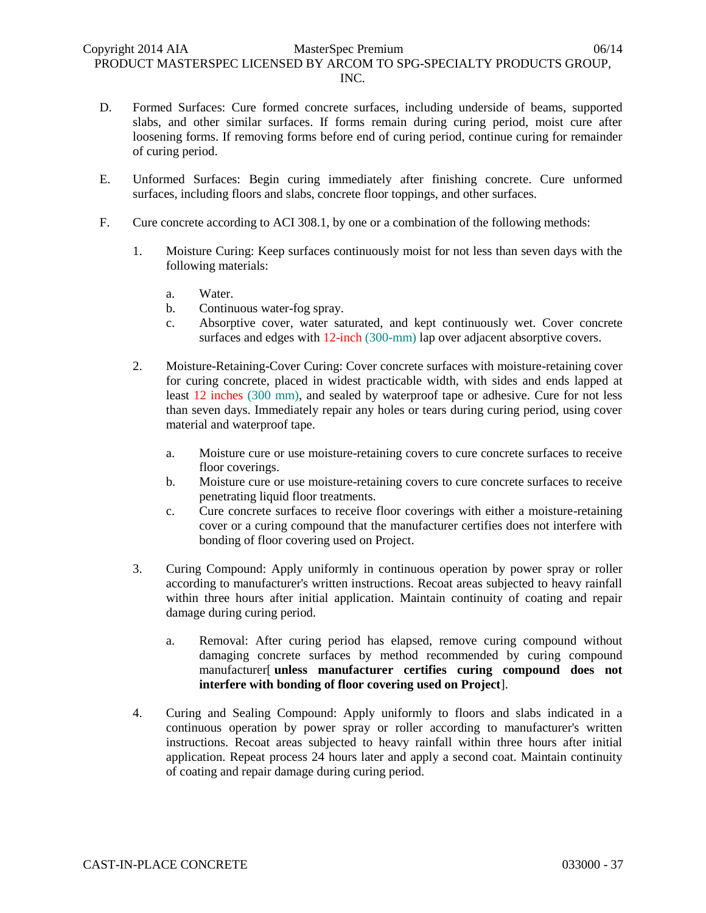- D. Formed Surfaces: Cure formed concrete surfaces, including underside of beams, supported slabs, and other similar surfaces. If forms remain during curing period, moist cure after loosening forms. If removing forms before end of curing period, continue curing for remainder of curing period.
- E. Unformed Surfaces: Begin curing immediately after finishing concrete. Cure unformed surfaces, including floors and slabs, concrete floor toppings, and other surfaces.
- F. Cure concrete according to ACI 308.1, by one or a combination of the following methods:
	- 1. Moisture Curing: Keep surfaces continuously moist for not less than seven days with the following materials:
		- a. Water.
		- b. Continuous water-fog spray.
		- c. Absorptive cover, water saturated, and kept continuously wet. Cover concrete surfaces and edges with 12-inch (300-mm) lap over adjacent absorptive covers.
	- 2. Moisture-Retaining-Cover Curing: Cover concrete surfaces with moisture-retaining cover for curing concrete, placed in widest practicable width, with sides and ends lapped at least 12 inches (300 mm), and sealed by waterproof tape or adhesive. Cure for not less than seven days. Immediately repair any holes or tears during curing period, using cover material and waterproof tape.
		- a. Moisture cure or use moisture-retaining covers to cure concrete surfaces to receive floor coverings.
		- b. Moisture cure or use moisture-retaining covers to cure concrete surfaces to receive penetrating liquid floor treatments.
		- c. Cure concrete surfaces to receive floor coverings with either a moisture-retaining cover or a curing compound that the manufacturer certifies does not interfere with bonding of floor covering used on Project.
	- 3. Curing Compound: Apply uniformly in continuous operation by power spray or roller according to manufacturer's written instructions. Recoat areas subjected to heavy rainfall within three hours after initial application. Maintain continuity of coating and repair damage during curing period.
		- a. Removal: After curing period has elapsed, remove curing compound without damaging concrete surfaces by method recommended by curing compound manufacturer[ **unless manufacturer certifies curing compound does not interfere with bonding of floor covering used on Project**].
	- 4. Curing and Sealing Compound: Apply uniformly to floors and slabs indicated in a continuous operation by power spray or roller according to manufacturer's written instructions. Recoat areas subjected to heavy rainfall within three hours after initial application. Repeat process 24 hours later and apply a second coat. Maintain continuity of coating and repair damage during curing period.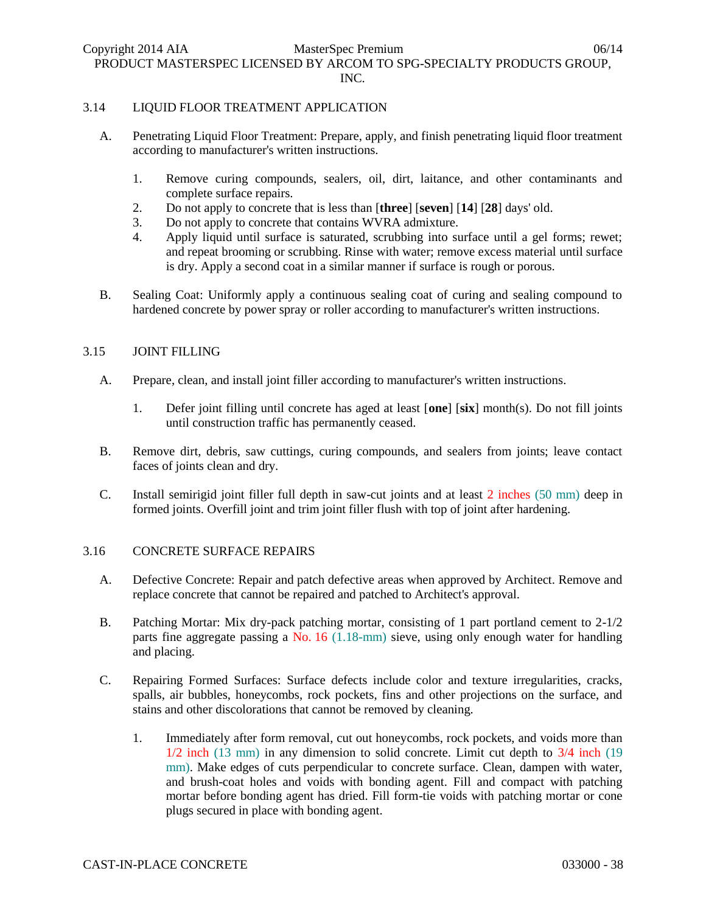Copyright 2014 AIA MasterSpec Premium 06/14 PRODUCT MASTERSPEC LICENSED BY ARCOM TO SPG-SPECIALTY PRODUCTS GROUP, INC.

### 3.14 LIQUID FLOOR TREATMENT APPLICATION

- A. Penetrating Liquid Floor Treatment: Prepare, apply, and finish penetrating liquid floor treatment according to manufacturer's written instructions.
	- 1. Remove curing compounds, sealers, oil, dirt, laitance, and other contaminants and complete surface repairs.
	- 2. Do not apply to concrete that is less than [**three**] [**seven**] [**14**] [**28**] days' old.
	- 3. Do not apply to concrete that contains WVRA admixture.
	- 4. Apply liquid until surface is saturated, scrubbing into surface until a gel forms; rewet; and repeat brooming or scrubbing. Rinse with water; remove excess material until surface is dry. Apply a second coat in a similar manner if surface is rough or porous.
- B. Sealing Coat: Uniformly apply a continuous sealing coat of curing and sealing compound to hardened concrete by power spray or roller according to manufacturer's written instructions.

#### 3.15 JOINT FILLING

- A. Prepare, clean, and install joint filler according to manufacturer's written instructions.
	- 1. Defer joint filling until concrete has aged at least [**one**] [**six**] month(s). Do not fill joints until construction traffic has permanently ceased.
- B. Remove dirt, debris, saw cuttings, curing compounds, and sealers from joints; leave contact faces of joints clean and dry.
- C. Install semirigid joint filler full depth in saw-cut joints and at least 2 inches (50 mm) deep in formed joints. Overfill joint and trim joint filler flush with top of joint after hardening.

### 3.16 CONCRETE SURFACE REPAIRS

- A. Defective Concrete: Repair and patch defective areas when approved by Architect. Remove and replace concrete that cannot be repaired and patched to Architect's approval.
- B. Patching Mortar: Mix dry-pack patching mortar, consisting of 1 part portland cement to 2-1/2 parts fine aggregate passing a No. 16 (1.18-mm) sieve, using only enough water for handling and placing.
- C. Repairing Formed Surfaces: Surface defects include color and texture irregularities, cracks, spalls, air bubbles, honeycombs, rock pockets, fins and other projections on the surface, and stains and other discolorations that cannot be removed by cleaning.
	- 1. Immediately after form removal, cut out honeycombs, rock pockets, and voids more than 1/2 inch (13 mm) in any dimension to solid concrete. Limit cut depth to 3/4 inch (19 mm). Make edges of cuts perpendicular to concrete surface. Clean, dampen with water, and brush-coat holes and voids with bonding agent. Fill and compact with patching mortar before bonding agent has dried. Fill form-tie voids with patching mortar or cone plugs secured in place with bonding agent.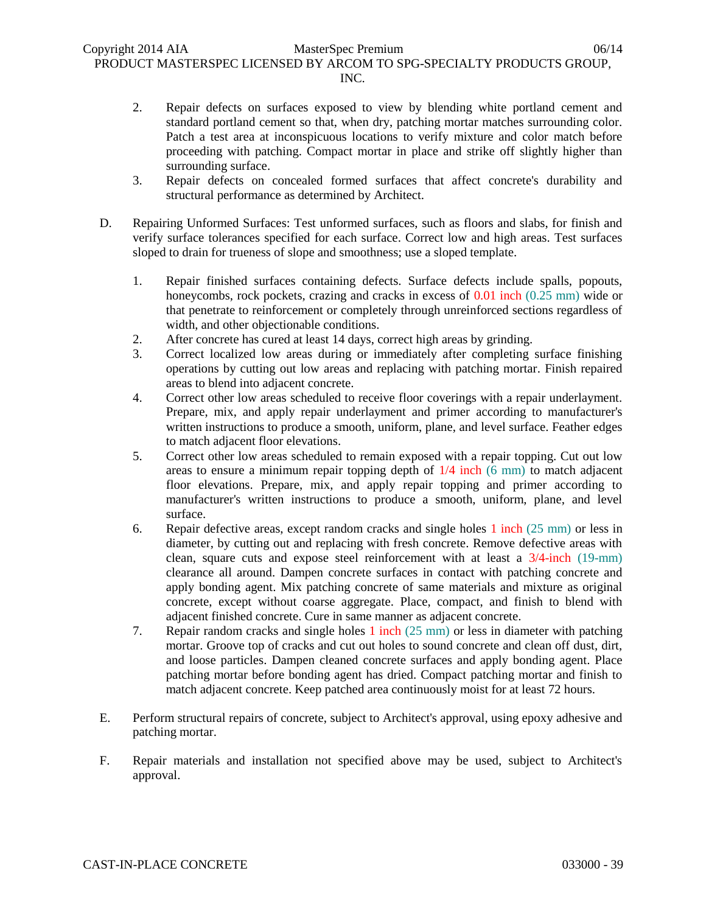- 2. Repair defects on surfaces exposed to view by blending white portland cement and standard portland cement so that, when dry, patching mortar matches surrounding color. Patch a test area at inconspicuous locations to verify mixture and color match before proceeding with patching. Compact mortar in place and strike off slightly higher than surrounding surface.
- 3. Repair defects on concealed formed surfaces that affect concrete's durability and structural performance as determined by Architect.
- D. Repairing Unformed Surfaces: Test unformed surfaces, such as floors and slabs, for finish and verify surface tolerances specified for each surface. Correct low and high areas. Test surfaces sloped to drain for trueness of slope and smoothness; use a sloped template.
	- 1. Repair finished surfaces containing defects. Surface defects include spalls, popouts, honeycombs, rock pockets, crazing and cracks in excess of 0.01 inch (0.25 mm) wide or that penetrate to reinforcement or completely through unreinforced sections regardless of width, and other objectionable conditions.
	- 2. After concrete has cured at least 14 days, correct high areas by grinding.
	- 3. Correct localized low areas during or immediately after completing surface finishing operations by cutting out low areas and replacing with patching mortar. Finish repaired areas to blend into adjacent concrete.
	- 4. Correct other low areas scheduled to receive floor coverings with a repair underlayment. Prepare, mix, and apply repair underlayment and primer according to manufacturer's written instructions to produce a smooth, uniform, plane, and level surface. Feather edges to match adjacent floor elevations.
	- 5. Correct other low areas scheduled to remain exposed with a repair topping. Cut out low areas to ensure a minimum repair topping depth of  $1/4$  inch  $(6 \text{ mm})$  to match adjacent floor elevations. Prepare, mix, and apply repair topping and primer according to manufacturer's written instructions to produce a smooth, uniform, plane, and level surface.
	- 6. Repair defective areas, except random cracks and single holes 1 inch (25 mm) or less in diameter, by cutting out and replacing with fresh concrete. Remove defective areas with clean, square cuts and expose steel reinforcement with at least a 3/4-inch (19-mm) clearance all around. Dampen concrete surfaces in contact with patching concrete and apply bonding agent. Mix patching concrete of same materials and mixture as original concrete, except without coarse aggregate. Place, compact, and finish to blend with adjacent finished concrete. Cure in same manner as adjacent concrete.
	- 7. Repair random cracks and single holes 1 inch (25 mm) or less in diameter with patching mortar. Groove top of cracks and cut out holes to sound concrete and clean off dust, dirt, and loose particles. Dampen cleaned concrete surfaces and apply bonding agent. Place patching mortar before bonding agent has dried. Compact patching mortar and finish to match adjacent concrete. Keep patched area continuously moist for at least 72 hours.
- E. Perform structural repairs of concrete, subject to Architect's approval, using epoxy adhesive and patching mortar.
- F. Repair materials and installation not specified above may be used, subject to Architect's approval.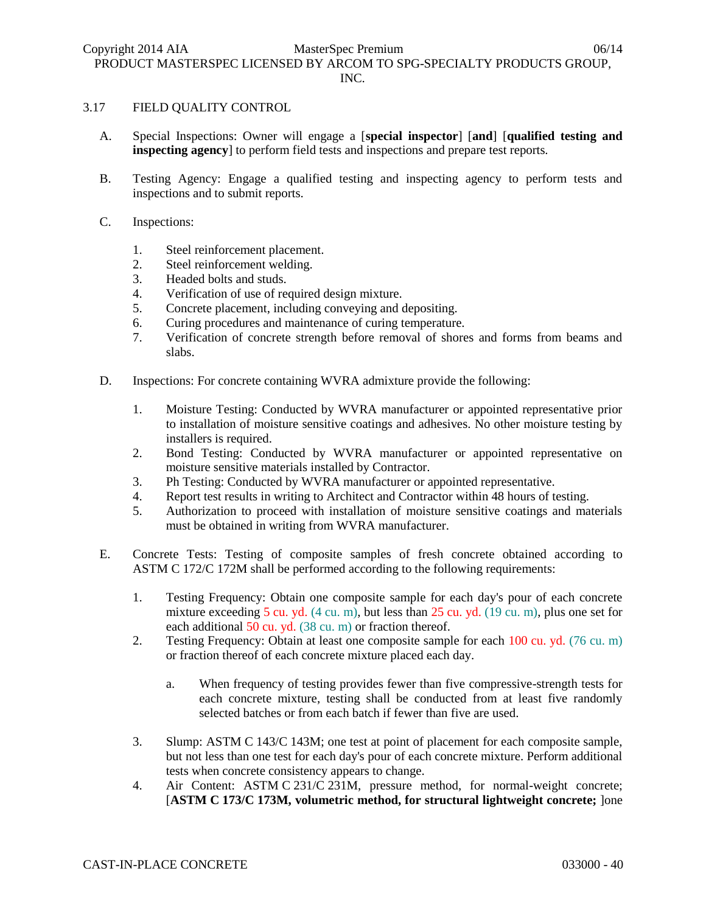### 3.17 FIELD QUALITY CONTROL

- A. Special Inspections: Owner will engage a [**special inspector**] [**and**] [**qualified testing and inspecting agency**] to perform field tests and inspections and prepare test reports.
- B. Testing Agency: Engage a qualified testing and inspecting agency to perform tests and inspections and to submit reports.
- C. Inspections:
	- 1. Steel reinforcement placement.
	- 2. Steel reinforcement welding.
	- 3. Headed bolts and studs.
	- 4. Verification of use of required design mixture.
	- 5. Concrete placement, including conveying and depositing.
	- 6. Curing procedures and maintenance of curing temperature.
	- 7. Verification of concrete strength before removal of shores and forms from beams and slabs.
- D. Inspections: For concrete containing WVRA admixture provide the following:
	- 1. Moisture Testing: Conducted by WVRA manufacturer or appointed representative prior to installation of moisture sensitive coatings and adhesives. No other moisture testing by installers is required.
	- 2. Bond Testing: Conducted by WVRA manufacturer or appointed representative on moisture sensitive materials installed by Contractor.
	- 3. Ph Testing: Conducted by WVRA manufacturer or appointed representative.
	- 4. Report test results in writing to Architect and Contractor within 48 hours of testing.
	- 5. Authorization to proceed with installation of moisture sensitive coatings and materials must be obtained in writing from WVRA manufacturer.
- E. Concrete Tests: Testing of composite samples of fresh concrete obtained according to ASTM C 172/C 172M shall be performed according to the following requirements:
	- 1. Testing Frequency: Obtain one composite sample for each day's pour of each concrete mixture exceeding 5 cu. yd. (4 cu. m), but less than 25 cu. yd. (19 cu. m), plus one set for each additional 50 cu. yd. (38 cu. m) or fraction thereof.
	- 2. Testing Frequency: Obtain at least one composite sample for each 100 cu. yd. (76 cu. m) or fraction thereof of each concrete mixture placed each day.
		- a. When frequency of testing provides fewer than five compressive-strength tests for each concrete mixture, testing shall be conducted from at least five randomly selected batches or from each batch if fewer than five are used.
	- 3. Slump: ASTM C 143/C 143M; one test at point of placement for each composite sample, but not less than one test for each day's pour of each concrete mixture. Perform additional tests when concrete consistency appears to change.
	- 4. Air Content: ASTM C 231/C 231M, pressure method, for normal-weight concrete; [**ASTM C 173/C 173M, volumetric method, for structural lightweight concrete;** ]one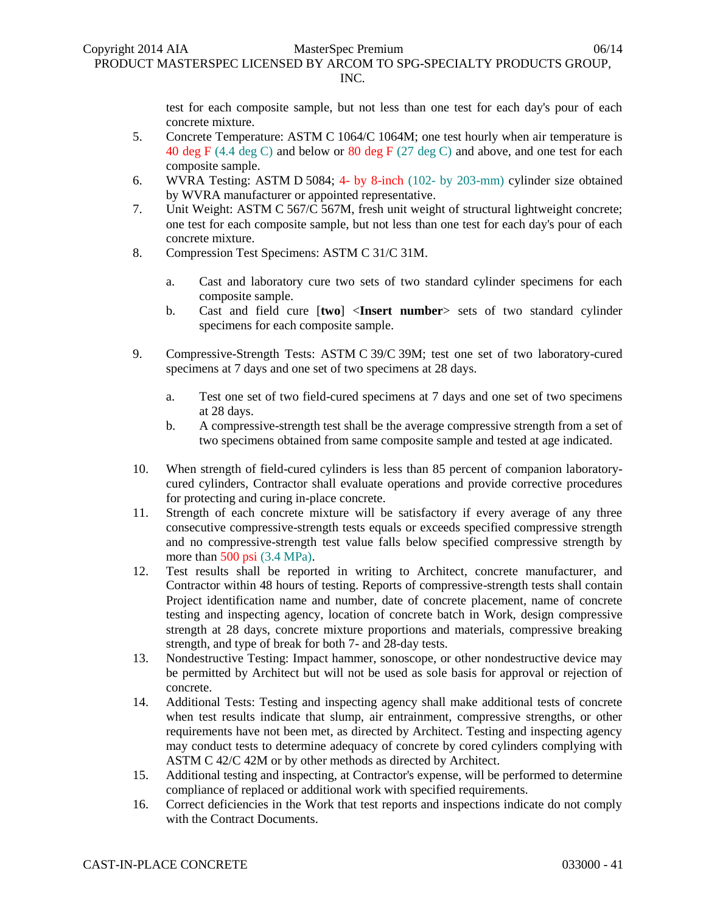test for each composite sample, but not less than one test for each day's pour of each concrete mixture.

- 5. Concrete Temperature: ASTM C 1064/C 1064M; one test hourly when air temperature is 40 deg F (4.4 deg C) and below or 80 deg F (27 deg C) and above, and one test for each composite sample.
- 6. WVRA Testing: ASTM D 5084; 4- by 8-inch (102- by 203-mm) cylinder size obtained by WVRA manufacturer or appointed representative.
- 7. Unit Weight: ASTM C 567/C 567M, fresh unit weight of structural lightweight concrete; one test for each composite sample, but not less than one test for each day's pour of each concrete mixture.
- 8. Compression Test Specimens: ASTM C 31/C 31M.
	- a. Cast and laboratory cure two sets of two standard cylinder specimens for each composite sample.
	- b. Cast and field cure [**two**] <**Insert number**> sets of two standard cylinder specimens for each composite sample.
- 9. Compressive-Strength Tests: ASTM C 39/C 39M; test one set of two laboratory-cured specimens at 7 days and one set of two specimens at 28 days.
	- a. Test one set of two field-cured specimens at 7 days and one set of two specimens at 28 days.
	- b. A compressive-strength test shall be the average compressive strength from a set of two specimens obtained from same composite sample and tested at age indicated.
- 10. When strength of field-cured cylinders is less than 85 percent of companion laboratorycured cylinders, Contractor shall evaluate operations and provide corrective procedures for protecting and curing in-place concrete.
- 11. Strength of each concrete mixture will be satisfactory if every average of any three consecutive compressive-strength tests equals or exceeds specified compressive strength and no compressive-strength test value falls below specified compressive strength by more than 500 psi (3.4 MPa).
- 12. Test results shall be reported in writing to Architect, concrete manufacturer, and Contractor within 48 hours of testing. Reports of compressive-strength tests shall contain Project identification name and number, date of concrete placement, name of concrete testing and inspecting agency, location of concrete batch in Work, design compressive strength at 28 days, concrete mixture proportions and materials, compressive breaking strength, and type of break for both 7- and 28-day tests.
- 13. Nondestructive Testing: Impact hammer, sonoscope, or other nondestructive device may be permitted by Architect but will not be used as sole basis for approval or rejection of concrete.
- 14. Additional Tests: Testing and inspecting agency shall make additional tests of concrete when test results indicate that slump, air entrainment, compressive strengths, or other requirements have not been met, as directed by Architect. Testing and inspecting agency may conduct tests to determine adequacy of concrete by cored cylinders complying with ASTM C 42/C 42M or by other methods as directed by Architect.
- 15. Additional testing and inspecting, at Contractor's expense, will be performed to determine compliance of replaced or additional work with specified requirements.
- 16. Correct deficiencies in the Work that test reports and inspections indicate do not comply with the Contract Documents.